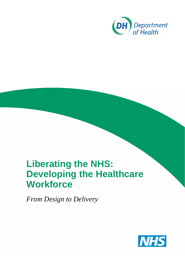

# **Liberating the NHS: Developing the Healthcare Workforce**

*From Design to Delivery* 

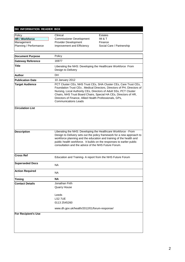#### **DH INFORMATION READER BOX**

| Policy<br><b>HR / Workforce</b> | Clinical<br><b>Commissioner Development</b>                                                                                                                                                                                                                                                         | <b>Estates</b><br>IM & T                                               |
|---------------------------------|-----------------------------------------------------------------------------------------------------------------------------------------------------------------------------------------------------------------------------------------------------------------------------------------------------|------------------------------------------------------------------------|
| Management                      | Provider Development                                                                                                                                                                                                                                                                                | Finance                                                                |
| Planning / Performance          | Improvement and Efficiency                                                                                                                                                                                                                                                                          | Social Care / Partnership                                              |
|                                 |                                                                                                                                                                                                                                                                                                     |                                                                        |
| <b>Document Purpose</b>         | Policy                                                                                                                                                                                                                                                                                              |                                                                        |
| <b>Gateway Reference</b>        | 16977                                                                                                                                                                                                                                                                                               |                                                                        |
| <b>Title</b>                    | Liberating the NHS: Developing the Healthcare Workforce From<br>Design to Delivery                                                                                                                                                                                                                  |                                                                        |
| <b>Author</b>                   | DH.                                                                                                                                                                                                                                                                                                 |                                                                        |
| <b>Publication Date</b>         | 10 January 2012                                                                                                                                                                                                                                                                                     |                                                                        |
| <b>Target Audience</b>          | PCT Cluster CEs, NHS Trust CEs, SHA Cluster CEs, Care Trust CEs,<br>Nursing, Local Authority CEs, Directors of Adult SSs, PCT Cluster<br>Chairs, NHS Trust Board Chairs, Special HA CEs, Directors of HR,<br>Directors of Finance, Allied Health Professionals, GPs,<br><b>Communications Leads</b> | Foundation Trust CEs, Medical Directors, Directors of PH, Directors of |
| <b>Circulation List</b>         |                                                                                                                                                                                                                                                                                                     |                                                                        |
| <b>Description</b>              | Liberating the NHS: Developing the Healthcare Workforce - From<br>workforce planning and the education and training of the health and<br>public health workforce. It builds on the responses to earlier public<br>consultation and the advice of the NHS Future Forum.                              | Design to Delivery sets out the policy framework for a new approach to |
| <b>Cross Ref</b>                | Education and Training- A report from the NHS Future Forum                                                                                                                                                                                                                                          |                                                                        |
| <b>Superseded Docs</b>          | <b>NA</b>                                                                                                                                                                                                                                                                                           |                                                                        |
| <b>Action Required</b>          | <b>NA</b>                                                                                                                                                                                                                                                                                           |                                                                        |
| <b>Timing</b>                   | <b>NA</b>                                                                                                                                                                                                                                                                                           |                                                                        |
| <b>Contact Details</b>          | Jonathan Firth<br><b>Quarry House</b><br>Leeds<br>LS2 7UE<br>0113 2545260<br>www.dh.gov.uk/health/2012/01/forum-response/                                                                                                                                                                           |                                                                        |
| <b>For Recipient's Use</b>      |                                                                                                                                                                                                                                                                                                     |                                                                        |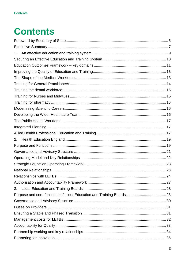# **Contents**

| 1. |  |
|----|--|
|    |  |
|    |  |
|    |  |
|    |  |
|    |  |
|    |  |
|    |  |
|    |  |
|    |  |
|    |  |
|    |  |
|    |  |
|    |  |
| 2. |  |
|    |  |
|    |  |
|    |  |
|    |  |
|    |  |
|    |  |
|    |  |
| 3. |  |
|    |  |
|    |  |
|    |  |
|    |  |
|    |  |
|    |  |
|    |  |
|    |  |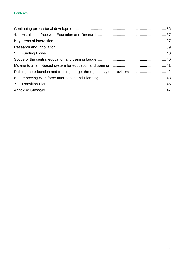#### **Contents**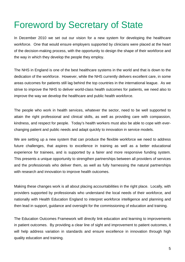# Foreword by Secretary of State

In December 2010 we set out our vision for a new system for developing the healthcare workforce. One that would ensure employers supported by clinicians were placed at the heart of the decision-making process, with the opportunity to design the shape of their workforce and the way in which they develop the people they employ.

The NHS in England is one of the best healthcare systems in the world and that is down to the dedication of the workforce. However, while the NHS currently delivers excellent care, in some areas outcomes for patients still lag behind the top countries in the international league. As we strive to improve the NHS to deliver world-class health outcomes for patients, we need also to improve the way we develop the healthcare and public health workforce.

The people who work in health services, whatever the sector, need to be well supported to attain the right professional and clinical skills, as well as providing care with compassion, kindness, and respect for people. Today's health workers must also be able to cope with everchanging patient and public needs and adapt quickly to innovation in service models.

We are setting up a new system that can produce the flexible workforce we need to address future challenges, that aspires to excellence in training as well as a better educational experience for trainees, and is supported by a fairer and more responsive funding system. This presents a unique opportunity to strengthen partnerships between all providers of services and the professionals who deliver them, as well as fully harnessing the natural partnerships with research and innovation to improve health outcomes.

Making these changes work is all about placing accountabilities in the right place. Locally, with providers supported by professionals who understand the local needs of their workforce, and nationally with Health Education England to interpret workforce intelligence and planning and then lead in support, guidance and oversight for the commissioning of education and training.

The Education Outcomes Framework will directly link education and learning to improvements in patient outcomes. By providing a clear line of sight and improvement to patient outcomes, it will help address variation in standards and ensure excellence in innovation through high quality education and training.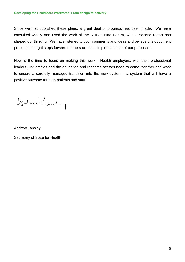Since we first published these plans, a great deal of progress has been made. We have consulted widely and used the work of the NHS Future Forum, whose second report has shaped our thinking. We have listened to your comments and ideas and believe this document presents the right steps forward for the successful implementation of our proposals.

Now is the time to focus on making this work. Health employers, with their professional leaders, universities and the education and research sectors need to come together and work to ensure a carefully managed transition into the new system - a system that will have a positive outcome for both patients and staff.

DarmesLamburg

Andrew Lansley

Secretary of State for Health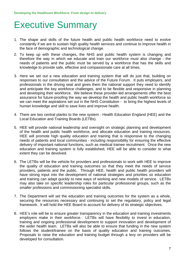# Executive Summary

- 1. The shape and skills of the future health and public health workforce need to evolve constantly if we are to sustain high quality health services and continue to improve health in the face of demographic and technological change.
- 2. To keep up with these changes, the NHS and public health system is changing and therefore the way in which we educate and train our workforce must also change - the needs of patients and the public must be served by a workforce that has the skills and knowledge to provide safe, effective and compassionate care at all times.
- 3. Here we set out a new education and training system that will do just that, building on responses to our consultation and the advice of the Future Forum. It puts employers, and professionals in the driving seat and gives them the national support they need to identify and anticipate the key workforce challenges, and to be flexible and responsive in planning and developing their workforce. We believe these provider-led arrangements offer the best assurance for future-proofing the way we develop the health and public health workforce so we can meet the aspirations set out in the NHS Constitution - to bring the highest levels of human knowledge and skill to save lives and improve health.
- 4. There are two central planks to the new system Health Education England (HEE) and the Local Education and Training Boards (LETBs).
- 5. HEE will provide national leadership and oversight on strategic planning and development of the health and public health workforce, and allocate education and training resources. HEE will promote high quality education and training that is responsive to the changing needs of patients and local communities - including responsibility for ensuring the effective delivery of important national functions, such as medical trainee recruitment. Once the new education and training system is fully established, HEE will be able to consider to what extent they can be devolved.
- 6. The LETBs will be the vehicle for providers and professionals to work with HEE to improve the quality of education and training outcomes so that they meet the needs of service providers, patients and the public. Through HEE, health and public health providers will have strong input into the development of national strategies and priorities so education and training can adapt quickly to new ways of working and new models of service. LETBs may also take on specific leadership roles for particular professional groups, such as the smaller professions and commissioning specialist skills.
- 7. The Department will set the education and training outcomes for the system as a whole, securing the resources necessary and continuing to set the regulatory, policy and legal framework. It will hold the HEE Board to account for delivery of its strategic objectives.
- 8. HEE's role will be to ensure greater transparency in the education and training investments employers make in their workforce. LETBs will have flexibility to invest in education, training and ongoing professional development to support innovation and development of the wider health team. LETBs will also be able to ensure that funding in the new system follows the student/trainee on the basis of quality education and training outcomes. Proposals to raise the education and training budget through a levy on providers will be developed for consultation.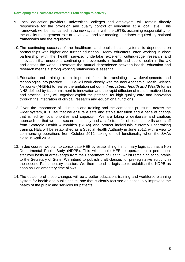- 9. Local education providers, universities, colleges and employers, will remain directly responsible for the provision and quality control of education at a local level. This framework will be maintained in the new system, with the LETBs assuming responsibility for the quality management role at local level and for meeting standards required by national frameworks and the regulators.
- 10.The continuing success of the healthcare and public health systems is dependent on partnerships with higher and further education. Many educators, often working in close partnership with the health service, undertake excellent, cutting-edge research and innovation that underpins continuing improvements in health and public health in the UK and across the world. Therefore the mutual dependence between health, education and research means a strong working relationship is essential.
- 11.Education and training is an important factor in translating new developments and technologies into practice. LETBs will work closely with the new Academic Health Science Networks (AHSNs) to realise the ambition set out in *Innovation, Health and Wealth* for an NHS defined by its commitment to innovation and the rapid diffusion of transformative ideas and practice. They will together exploit the potential for high quality care and innovation through the integration of clinical, research and educational functions.
- 12.Given the importance of education and training and the competing pressures across the wider system, it is vital that we ensure a safe and stable transition and a pace of change that is led by local priorities and capacity. We are taking a deliberate and cautious approach so that we can secure continuity and a safe transfer of essential skills and staff from Strategic Health Authorities (SHAs) and protect individuals currently undertaking training. HEE will be established as a Special Health Authority in June 2012, with a view to commencing operations from October 2012, taking on full functionality when the SHAs close in April 2013.
- 13.In due course, we plan to consolidate HEE by establishing it in primary legislation as a Non Departmental Public Body (NDPB). This will enable HEE to operate on a permanent statutory basis at arms-length from the Department of Health, whilst remaining accountable to the Secretary of State. We intend to publish draft clauses for pre-legislative scrutiny in the second Parliamentary session. We then intend to legislate to establish the NDPB as soon as Parliamentary time allows.
- 14.The outcome of these changes will be a better education, training and workforce planning system for health and public health, one that is clearly focused on continually improving the health of the public and services for patients.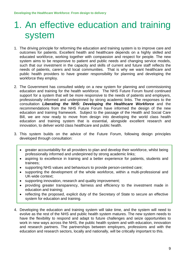# 1. An effective education and training system

- 1. The driving principle for reforming the education and training system is to improve care and outcomes for patients. Excellent health and healthcare depends on a highly skilled and educated workforce, working together with compassion and respect for people. The new system aims to be responsive to patient and public needs and changing service models, such that our investment in the capacity and skills of current and future staff reflects the needs of patients, carers and local communities. That is why we want healthcare and public health providers to have greater responsibility for planning and developing the workforce they employ.
- 2. The Government has consulted widely on a new system for planning and commissioning education and training for the health workforce. The NHS Future Forum found continued support for a system that will be more responsive to the needs of patients and employers, professionally informed and underpinned by strong academic links. The responses to the consultation *Liberating the NHS: Developing the Healthcare Workforce* and the recommendations from the NHS Future Forum have informed the design of the new education and training framework. Subject to the passage of the Health and Social Care Bill, we are now ready to move from design into developing the world class health education and training system that is essential, alongside excellent research and innovation, to deliver world class healthcare and public health.
- 3. This system builds on the advice of the Future Forum, following design principles developed through consultation:
	- greater accountability for all providers to plan and develop their workforce, whilst being professionally informed and underpinned by strong academic links;
	- aspiring to excellence in training and a better experience for patients, students and trainees;
	- supporting NHS values and behaviours to provide person-centred care;
	- supporting the development of the whole workforce, within a multi-professional and UK-wide context;
	- supporting innovation, research and quality improvement;
	- providing greater transparency, fairness and efficiency to the investment made in education and training;
	- reflecting the proposed, explicit duty of the Secretary of State to secure an effective system for education and training.
- 4. Developing the education and training system will take time, and the system will need to evolve as the rest of the NHS and public health system matures. The new system needs to have the flexibility to respond and adapt to future challenges and seize opportunities to work in new ways across the NHS, the public health system and with education, innovation and research partners. The partnerships between employers, professions and with the education and research sectors, locally and nationally, will be critically important to this.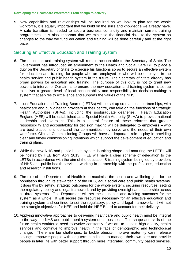5. New capabilities and relationships will be required as we look to plan for the whole workforce, it is equally important that we build on the skills and knowledge we already have. A safe transition is needed to secure business continuity and maintain current training programmes. It is also important that we minimise the financial risks to the system so changes to the way we fund education and training will be done carefully and at the right pace.

## Securing an Effective Education and Training System

- 6. The education and training system will remain accountable to the Secretary of State. The Government has introduced an amendment to the Health and Social Care Bill to place a duty on the Secretary of State to exercise his functions so as to secure an effective system for education and training, for people who are employed or who will be employed in the health service and public health system in the future. The Secretary of State already has broad powers for education and training. The purpose of this duty is not to grant new powers to intervene. Our aim is to ensure the new education and training system is set up to deliver a greater level of local accountability and responsibility for decision-making: a system that aspires to excellence and supports the values of the NHS.
- 7. Local Education and Training Boards (LETBs) will be set up so that local partnerships, with healthcare and public health providers at their centre, can take on the functions of Strategic Health Authorities (SHAs), including the postgraduate deaneries. Health Education England (HEE) will be established as a Special Health Authority (SpHA) to provide national leadership and oversight. This is a central feature of these reforms: that greater responsibility and accountability for decision making will be delegated to employers – who are best placed to understand the communities they serve and the needs of their own workforce. Clinical Commissioning Groups will have an important role to play in providing clear and timely commissioning intentions which support the development of education and training plans.
- 8. While the new NHS and public health system is taking shape and maturing the LETBs will be hosted by HEE from April 2013. HEE will have a clear scheme of delegation to the LETBs in accordance with the aim of the education & training system being led by providers of NHS and public health services, working in partnership with the professions, education and research institutions.
- 9. The role of the Department of Health is to maximise the health and wellbeing gain for the population through its stewardship of the NHS, adult social care and public health systems. It does this by setting strategic outcomes for the whole system, securing resources, setting the regulatory, policy and legal framework and by providing oversight and leadership across all three systems. The Department will set the education and training outcomes for the system as a whole. It will secure the resources necessary for an effective education and training system and continue to set the regulatory, policy and legal framework. It will set the strategic objectives for HEE and hold the HEE Board to account for their delivery.
- 10. Applying innovative approaches to delivering healthcare and public health must be integral to the way the NHS and public health system does business. The shape and skills of the future health workforce need to evolve constantly if we are to sustain high quality, health services and continue to improve health in the face of demographic and technological change. There are big challenges: to tackle obesity; improve maternity care; release savings; empower people with long-term conditions to manage their own care and provide people in later life with better support through more integrated, community based services.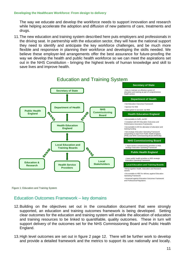The way we educate and develop the workforce needs to support innovation and research while helping accelerate the adoption and diffusion of new patterns of care, treatments and drugs.

11.The new education and training system described here puts employers and professionals in the driving seat. In partnership with the education sector, they will have the national support they need to identify and anticipate the key workforce challenges, and be much more flexible and responsive in planning their workforce and developing the skills needed. We believe these employer-led arrangements offer the best assurance for future-proofing the way we develop the health and public health workforce so we can meet the aspirations set out in the NHS Constitution - bringing the highest levels of human knowledge and skill to save lives and improve health.



Figure 1: Education and Training System

## Education Outcomes Framework – key domains

- 12.Building on the objectives set out in the consultation document that were strongly supported, an education and training outcomes framework is being developed. Setting clear outcomes for the education and training system will enable the allocation of education and training resources to be linked to quantifiable, quality outcomes. These in turn will support delivery of the outcomes set for the NHS Commissioning Board and Public Health England.
- and provide a detailed framework and the metrics to support its use nationally and locally.<br>11 13.High level outcomes are set out in figure 2 page 12. There will be further work to develop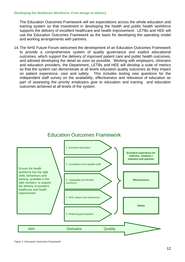The Education Outcomes Framework will set expectations across the whole education and training system so that investment in developing the health and public health workforce supports the delivery of excellent healthcare and health improvement. LETBs and HEE will use the Education Outcomes Framework as the basis for developing the operating model and working arrangements with partners.

14.The NHS Future Forum welcomed the development of an Education Outcomes Framework to provide a comprehensive system of quality governance and explicit educational outcomes, which support the delivery of improved patient care and public health outcomes, and advised developing the detail as soon as possible. Working with employers, clinicians and education providers, the Department, LETBs and HEE will develop a suite of metrics so that the system can demonstrate at all levels education quality outcomes as they impact on patient experience, care and safety. This includes testing new questions for the independent staff survey on the availability, effectiveness and relevance of education as part of assessing the priority employers give to education and training and education outcomes achieved at all levels of the system.



# Education Outcomes Framework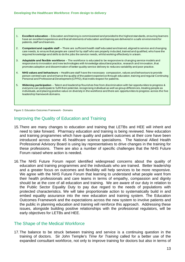- have an excellent experience and that all elements of education and training are delivered in a safe environment for 1. **Excellent education** – Education and training is commissioned and provided to the highest standards, ensuring learners patients, staff and learners.
- 2. **Competent and capable staff**  There are sufficient health staff educated and trained, aligned to service and changing care needs, to ensure that people are cared for by staff who are properly inducted, trained and qualified, who have the required knowledge and skills to do the jobs the service needs, whilst working effectively in a team.
- 3. **Adaptable and flexible workforce**  The workforce is educated to be responsive to changing service models and responsive to innovation and new technologies with knowledge about best practice, research and innovation, that promotes adoption and dissemination of better quality service delivery to reduces variability and poor practice.
- 4. **NHS values and behaviours** Healthcare staff have the necessary compassion, values and behaviours to provide Personal and Professional Development (CPPD), that instils respect for patients. person centred care and enhance the quality of the patient experience through education, training and regular Continuing
- 5. **Widening participation**  Talent and leadership flourishes free from discrimination with fair opportunities to progress & everyone can participate to fulfil their potential, recognising individual as well as group differences, treating people as individuals, and placing positive value on diversity in the workforce and there are opportunities to progress across the five leadership framework domains.

Figure 3: Education Outcomes Framework - Domains

# Improving the Quality of Education and Training

- 15.There are many changes to education and training that LETBs and HEE will inherit and need to take forward. Pharmacy education and training is being reviewed. New education and training programmes which have quality and patient outcomes at their core have been introduced across some 45 healthcare science specialisms. The National Allied Health Professional Advisory Board is using lay representatives to drive changes in the training for these professions. There are also a number of specific challenges that the NHS Future Forum raised where action is needed.
- 16.The NHS Future Forum report identified widespread concerns about the quality of education and training programmes and the individuals who are trained. Better leadership and a greater focus on outcomes and flexibility will help services to be more responsive. We agree with the NHS Future Forum that learning to understand what people want from their health professionals and care teams in terms of empathy, compassion and dignity should be at the core of all education and training. We are aware of our duty in relation to the Public Sector Equality Duty to pay due regard to the needs of populations with protected characteristics. We will take proportionate action to systematically build in and embed equality assurance into the new education and training system. The Education Outcomes Framework and the expectations across the new system to involve patients and the public in planning education and training will reinforce this approach. Addressing these issues, alongside building positive relationships with the professional regulators, will be early objectives for LETBs and HEE.

### The Shape of the Medical Workforce

17.The balance to be struck between training and service is a continuing question in the training of doctors. Sir John Temple's *Time for Training* called for a better use of the expanded consultant workforce, not only to improve training for doctors but also in terms of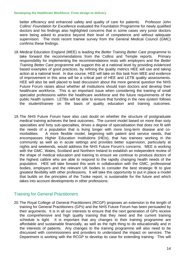better efficiency and enhanced safety and quality of care for patients. Professor John Collins' *Foundation for Excellence* evaluated the Foundation Programme for newly qualified doctors and his findings also highlighted concerns that in some cases very junior doctors were being asked to practice beyond their level of competence and without adequate supervision. The most recent trainee survey from the General Medical Council (GMC) confirms these findings.

- 18.Medical Education England (MEE) is leading the *Better Training Better Care* programme to take forward the recommendations from the Collins and Temple reports. Primary responsibility for implementing the recommendations rests with employers and the *Better Training Better Care* programme will support this at a national level by providing evidenced based examples of good practices, by refining the quality metrics HEE will use and taking action at a national level. In due course, HEE will take on this task from MEE and evidence of improvement in this area will be a critical part of HEE and LETB quality assessments. HEE will also be well placed to lead discussion about the more general question the NHS Future Forum raises about whether all institutions should train doctors and develop their healthcare workforce. This is an important issue when considering the training of small specialist professions within the healthcare workforce and the future requirements of the public health system. LETBs will be able to ensure that funding in the new system follows the student/trainee on the basis of quality education and training outcomes.
- 19.The NHS Future Forum have also cast doubt on whether the structure of postgraduate medical training achieves the best outcomes. The current model based on more than sixty specialties and forty sub-specialties, drives a degree of specialisation that does not fit with the needs of a population that is living longer with more long-term disease and comorbidities. A more flexible model, beginning with patient and service needs, that encompasses Higher Education Institutions (HEIs), that has trainees working in the community as well as in acute settings and provides better supervision, particularly at nights and weekends, would address the NHS Future Forum's concerns. MEE is working with the GMC, Wales, Scotland and Northern Ireland to establish an independent review of the shape of medical education and training to ensure we continue to produce doctors of the highest calibre who are able to respond to the rapidly changing health needs of the population. HEE will take forward this work in collaboration with the GMC, professional bodies, employers and the relevant UK bodies to consider the best strategic fit to give greatest flexibility with other professions. It will take this opportunity to put in place a model that builds on the principles of the Tooke report, is sustainable for the future and which takes into account developments in other professions.

# Training for General Practitioners

20.The Royal College of General Practitioners (RCGP) proposes an extension to the length of training for General Practitioners (GPs) and the NHS Future Forum has been persuaded by their arguments. It is in all our interests to ensure that the next generation of GPs receive the comprehensive and high quality training that they need and the current training schedule is tight. It is important that any changes to their training programme are affordable and sustainable financially, as well as the right thing to do educationally and in the interests of patients. Any changes to the training programme will also need to be discussed with commissioners and providers to understand the impact on services. The Department is working with the RCGP to develop its case for extending training. This will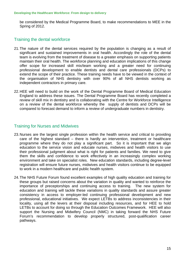be considered by the Medical Programme Board, to make recommendations to MEE in the Spring of 2012.

## Training the dental workforce

- 21.The nature of the dental services required by the population is changing as a result of significant and sustained improvements in oral health. Accordingly the role of the dental team is evolving from the treatment of disease to a greater emphasis on supporting patients maintain their oral health. The workforce planning and education implications of this change offer scope for increased skill mix/team working and a greater need for continuing professional development to enable dentists and dental care professionals (DCPs) to extend the scope of their practice. These training needs have to be viewed in the context of the organisation of NHS dentistry with over 90% of all NHS dentists working as independent contractors in primary care.
- 22.HEE will need to build on the work of the Dental Programme Board of Medical Education England to address these issues. The Dental Programme Board has recently completed a review of skill mix in dentistry and is collaborating with the Centre for Workforce Intelligence on a review of the dental workforce whereby the supply of dentists and DCPs will be compared to forecast demand to inform a review of undergraduate numbers in dentistry.

### Training for Nurses and Midwives

- 23. Nurses are the largest single profession within the health service and critical to providing care of the highest standard – there is hardly an intervention, treatment or healthcare programme where they do not play a significant part. So it is important that we align education to the service vision and educate nurses, midwives and health visitors to use their professional judgment about what is right for patients and families. We need to give them the skills and confidence to work effectively in an increasingly complex working environment and take on specialist roles. New education standards, including degree-level registration will ensure future nurses, midwives and health visitors continue to be equipped to work in a modern healthcare and public health system.
- 24.The NHS Future Forum found excellent examples of high quality education and training for these groups but raised concerns about the variation in quality and wanted to reinforce the importance of preceptorships and continuing access to training. The new system for education and training will tackle these variations in quality standards and assure greater consistency in access to employer-led continuing professional development and new professional, educational initiatives. We expect LETBs to address inconsistencies in their locality, using all the levers at their disposal including resources, and for HEE to hold LETBs to account for doing so through the Education Outcomes Framework. HEE will also support the Nursing and Midwifery Council (NMC) in taking forward the NHS Future Forum's recommendation to develop properly structured, post-qualification career pathways.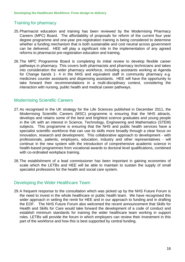# Training for pharmacy

- 25.Pharmacist education and training has been reviewed by the Modernising Pharmacy Careers (MPC) Board. The affordability of proposals for reform of the current four year degree programme and one-year pre-registration training is being considered to determine whether a funding mechanism that is both sustainable and cost neutral across government can be delivered. HEE will play a significant role in the implementation of any agreed reforms to pharmacist pre-registration education and training.
- 26.The MPC Programme Board is completing its initial review to develop flexible career pathways in pharmacy. This covers both pharmacists and pharmacy technicians and takes into consideration the wider pharmacy workforce, including assistants working at Agenda for Change bands 1- 4 in the NHS and equivalent staff in community pharmacy e.g. medicines counter assistants and dispensing assistants. HEE will have the opportunity to take forward their recommendations in a multi-disciplinary context, considering the interaction with nursing, public health and medical career pathways.

## Modernising Scientific Careers

- in the UK with an interest in Science, Technology, Engineering and Mathematics (STEM)<br>subjects. This programme is ensuring that the NHS and public health services have a 27.As recognised in the UK strategy for the Life Sciences published in December 2011, the Modernising Scientific Careers (MSC) programme is ensuring that the NHS attracts, develops and retains some of the best and brightest science graduates and young people specialist scientific workforce that can use its skills more broadly through a clear focus on innovation, research and development. This collaborative approach to development - with professionals, patients, employers, education, industry and other representatives - will continue in the new system with the introduction of comprehensive academic science in health-based programmes from vocational awards to doctoral level qualifications, combined with co-ordinated workplace training.
- 28.The establishment of a lead commissioner has been important in gaining economies of scale which the LETBs and HEE will be able to maintain to sustain the supply of small specialist professions for the health and social care system.

# Developing the Wider Healthcare Team

29.A frequent response to the consultation which was picked up by the NHS Future Forum is the need to invest in the whole healthcare or public health team. We have recognised this wider approach in setting the remit for HEE and in our approach to funding and in drafting the EOF. The NHS Future Forum also welcomed the recent announcement that Skills for Health and Skills for Care would take forward the development of a code of conduct and establish minimum standards for training the wider healthcare team working in support roles. LETBs will provide the forum in which employers can review their investment in this part of the workforce and how this is best supported by central funding.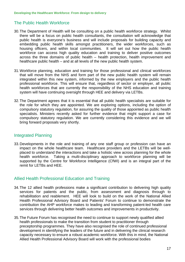# The Public Health Workforce

- 30.The Department of Health will be consulting on a public health workforce strategy. Whilst there will be a focus on public health consultants, the consultation will acknowledge that public health is everyone's business and will include proposals for building capacity and embedding public health skills amongst practitioners, the wider workforces, such as housing officers, and within local communities. It will set out how the public health workforce can access high quality education and training to deliver positive outcomes across the three domains of public health – health protection, health improvement and healthcare public health – and at all levels of the new public health system.
- 31. Workforce planning, education and training for those professional and clinical workforces that will move from the NHS and form part of the new public health system will remain integrated within this new system, informed by the new employers and the public health professional workforce. This will ensure that, regardless of sector or employer, all public health workforces that are currently the responsibility of the NHS education and training system will have continuing oversight through HEE and delivery via LETBs.
- 32.The Department agrees that it is essential that all public health specialists are suitable for the role for which they are appointed. We are exploring options, including the option of compulsory statutory regulation, for assuring the quality of those appointed as public health specialists. Ministers recently asked for further evidence that might support a case for compulsory statutory regulation. We are currently considering this evidence and we will bring forward proposals very shortly.

# Integrated Planning

33.Developments in the role and training of any one staff group or profession can have an impact on the whole healthcare team. Healthcare providers and the LETBs will be wellplaced to understand the interactions and take a holistic view across planning for the whole health workforce. Taking a multi-disciplinary approach to workforce planning will be supported by the Centre for Workforce Intelligence (CfWI) and is an integral part of the remit for LETBs and HEE.

# Allied Health Professional Education and Training

- 34.The 12 allied health professions make a significant contribution to delivering high quality services for patients and the public, from assessment and diagnosis through to rehabilitation and reablement. HEE will look to build on the work of the National Allied Health Professional Advisory Board and Patients' Forum to continue to demonstrate the contribution the AHP workforce makes to leading and transforming patient-led health care services through delivering better health outcomes and improvements in productivity.
- 35.The Future Forum has recognised the need to continue to support newly qualified allied health professionals to make the transition from student to practitioner through preceptorship programmes. They have also recognised the role of continued professional development in identifying the leaders of the future and in delivering the clinical research capacity necessary to ensure a robust academic workforce. With this in mind, the National Allied Health Professional Advisory Board will work with the professional bodies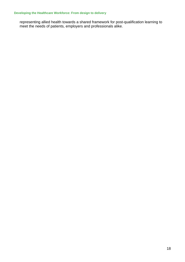representing allied health towards a shared framework for post-qualification learning to meet the needs of patients, employers and professionals alike.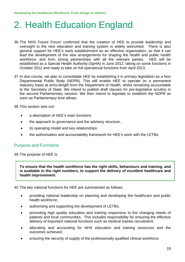# 2. Health Education England

- 36.The NHS Future Forum confirmed that the creation of HEE to provide leadership and oversight to the new education and training system is widely welcomed. There is also general support for HEE's early establishment as an effective organisation, so that it can lead the development of the new arrangements for shaping the health and public health workforce, and form strong partnerships with all the relevant parties. HEE will be established as a Special Health Authority (SpHA) in June 2012, taking on some functions in October 2012 and ready to take on full operational functions from April 2013.
- 37.In due course, we plan to consolidate HEE by establishing it in primary legislation as a Non Departmental Public Body (NDPB). This will enable HEE to operate on a permanent statutory basis at arms-length from the Department of Health, whilst remaining accountable to the Secretary of State. We intend to publish draft clauses for pre-legislative scrutiny in the second Parliamentary session. We then intend to legislate to establish the NDPB as soon as Parliamentary time allows.
- 38.This section sets out:
	- a description of HEE's main functions
	- the approach to governance and the advisory structure,
	- its operating model and key relationships
	- the authorisation and accountability framework for HEE's work with the LETBs.

## Purpose and Functions

39.The purpose of HEE is:

**To ensure that the health workforce has the right skills, behaviours and training, and is available in the right numbers, to support the delivery of excellent healthcare and health improvement.** 

40.The key national functions for HEE are summarised as follows:

- providing national leadership on planning and developing the healthcare and public health workforce;
- authorising and supporting the development of LETBs;
- promoting high quality education and training responsive to the changing needs of patients and local communities. This includes responsibility for ensuring the effective delivery of important national functions such as medical trainee recruitment;
- allocating and accounting for NHS education and training resources and the outcomes achieved;
- ensuring the security of supply of the professionally qualified clinical workforce.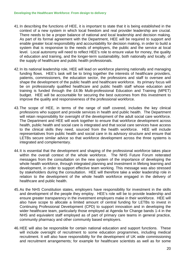- context of a new system in which local freedom and real provider leadership are crucial. 41.In describing the functions of HEE, it is important to state that it is being established in the There needs to be a proper balance of national and local leadership and decision making. As part of its formal agreement with the Department, HEE will be required to support and enable greater local responsibility and accountability for decision making, in order to build a system that is responsive to the needs of employers, the public and the service at local level. Local autonomy will need to reflect HEE's role to ensure value for money, the quality of education and training, and the longer-term sustainability, both nationally and locally, of the supply of healthcare and public health professionals.
- 42.In its national leadership role, HEE will lead on workforce planning nationally and managing funding flows. HEE's task will be to bring together the interests of healthcare providers, patients, commissioners, the education sector, the professions and staff to oversee and shape the development of the public health and healthcare workforce. Its primary focus will be on professionally qualified healthcare and public health staff whose education and training is funded through the £4.9b Multi-professional Education and Training (MPET) budget. HEE will be accountable for securing the best outcomes from this investment to improve the quality and responsiveness of the professional workforce.
- 43.The scope of HEE, in terms of the range of staff covered, includes the key clinical professions who support and provide services in health and public health. The Department will retain responsibility for oversight of the development of the adult social care workforce. The Department and HEE will work together to ensure that workforce development across health, public health and social care is integrated and that social care services have access to the clinical skills they need, sourced from the health workforce. HEE will include representatives from public health and social care in its advisory structure and ensure that LETBs secure similar advice so that workforce development across the three systems is integrated and complementary.
- 44.It is essential that the development and shaping of the professional workforce takes place within the overall context of the whole workforce. The NHS Future Forum reiterated messages from the consultation on the new system of the importance of developing the whole health workforce, through integrated planning and investment in lifelong learning and development, in order to support effective team working. This message was also stressed by stakeholders during the consultation. HEE will therefore take a wider leadership role in relation to the development of the whole health workforce engaged in the delivery of healthcare and public health.
- 45.As the NHS Constitution states, employers have responsibility for investment in the skills and development of the people they employ. HEE's role will be to provide leadership and ensure greater transparency in the investment employers make in their workforce. HEE will also have scope to allocate a limited amount of central funding for LETBs to invest in Continuing Professional Development (CPD) to support innovation and in developing the wider healthcare team, particularly those employed at Agenda for Change bands 1-4 in the NHS and equivalent staff employed as of part of primary care teams in general practice, community pharmacy and other community based employers.
- 46.HEE will also be responsible for certain national education and support functions. These will include oversight of recruitment to some education programmes, including medical recruitment. It will also have responsibility for the development of UK wide commissioning and recruitment arrangements; for example for healthcare scientists as well as for some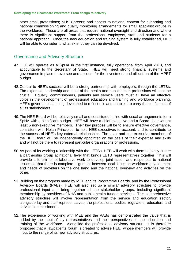other small professions; NHS Careers; and access to national content for e-learning and national commissioning and quality monitoring arrangements for small specialist groups in the workforce. These are all areas that require national oversight and direction and where there is significant support from the professions, employers, staff and students for a national approach. Once the new education and training system is fully established, HEE will be able to consider to what extent they can be devolved.

### Governance and Advisory Structure

- 47.HEE will operate as a SpHA in the first instance, fully operational from April 2013, and accountable to the Secretary of State. HEE will need strong financial systems and governance in place to oversee and account for the investment and allocation of the MPET budget.
- 48.Central to HEE's success will be a strong partnership with employers, through the LETBs. The expertise, leadership and input of the health and public health professions will also be crucial. Equally, commissioners, patients and service users must all have an effective voice in the development of professional education and training and workforce planning. HEE's governance is being developed to reflect this and enable it to carry the confidence of all its stakeholders.
- 49.The HEE Board will be relatively small and constituted in line with usual arrangements for a SpHA with a significant budget. HEE will have a chief executive and a Board chair with at least 5 non-executive members. Their key purpose will be to ensure effective governance, consistent with Nolan Principles; to hold HEE executives to account; and to contribute to the success of HEE's key external relationships. The chair and non-executive members of the HEE Board will be independently appointed on the basis of their expertise and skills and will not be there to represent particular organisations or professions.
- 50.As part of its working relationship with the LETBs, HEE will work with them to jointly create a partnership group at national level that brings LETB representatives together. This will provide a forum for collaborative work to develop joint action and responses to national issues so that there is complete alignment between local focus on workforce development and needs of providers on the one hand and the national overview and activities on the other.
- 51.Building on the progress made by MEE and its Programme Boards, and by the Professional Advisory Boards (PABs), HEE will also set up a similar advisory structure to provide professional input and bring together all the stakeholder groups, including significant membership by providers of NHS and public health funded services. This comprehensive advisory structure will involve representation from the service and education sector, alongside lay and staff representatives, the professional bodies, regulators, educators and service commissioners.
- 52.The experience of working with MEE and the PABs has demonstrated the value that is added by the input of lay representatives and their perspectives on the education and training of the workforce. Alongside the professional advisory structure, it is therefore proposed that a lay/patients forum is created to advise HEE, whose members will provide input to the range of its new advisory structures.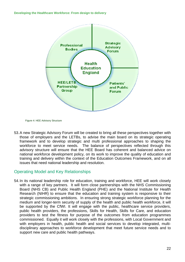

Figure 4: HEE Advisory Structure

53.A new Strategic Advisory Forum will be created to bring all these perspectives together with those of employers and the LETBs, to advise the main board on its strategic operating framework and to develop strategic and multi professional approaches to shaping the workforce to meet service needs. The balance of perspectives reflected through this advisory structure will ensure that the HEE Board has coherent and balanced advice on national workforce development policy, on its work to improve the quality of education and training and delivery within the context of the Education Outcomes Framework, and on all issues that need national leadership and resolution.

# Operating Model and Key Relationships

54.In its national leadership role for education, training and workforce, HEE will work closely with a range of key partners. It will form close partnerships with the NHS Commissioning Board (NHS CB) and Public Health England (PHE) and the National Institute for Health Research (NIHR) to ensure that the education and training system is responsive to their strategic commissioning ambitions. In ensuring strong strategic workforce planning for the medium and longer-term security of supply of the health and public health workforce, it will be supported by the CfWI. It will engage with the public, healthcare service providers, public health providers, the professions, Skills for Health, Skills for Care, and education providers to test the fitness for purpose of the outcomes from education programmes commissioned. Equally it will work closely with the professions, with Local Government and with employers in health, public health and social services to develop integrated, multidisciplinary approaches to workforce development that meet future service needs and to support new care and public health pathways.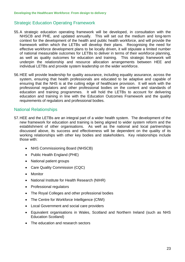# Strategic Education Operating Framework

- 55.A strategic education operating framework will be developed, in consultation with the NHSCB and PHE, and updated annually. This will set out the medium and long-term context for the development of the health and public health workforce, and will provide the framework within which the LETBs will develop their plans. Recognising the need for effective workforce development plans to be locally driven, it will stipulate a limited number of national measurable outcomes for LETBs to deliver in terms of their workforce planning, as well as quality outcomes for education and training. This strategic framework will underpin the relationship and resource allocation arrangements between HEE and individual LETBs and provide system leadership on the wider workforce.
- 56.HEE will provide leadership for quality assurance, including equality assurance, across the system, ensuring that health professionals are educated to be adaptive and capable of ensuring that the NHS is at the cutting edge of healthcare provision. It will work with the professional regulators and other professional bodies on the content and standards of education and training programmes. It will hold the LETBs to account for delivering education and training in line with the Education Outcomes Framework and the quality requirements of regulators and professional bodies.

### National Relationships

- 57.HEE and the LETBs are an integral part of a wider health system. The development of the new framework for education and training is being aligned to wider system reform and the establishment of other organisations. As well as the national and local partnerships discussed above, its success and effectiveness will be dependent on the quality of its working relationships with other key bodies and stakeholders. Key relationships include those with:
	- NHS Commissioning Board (NHSCB)
	- Public Health England (PHE)
	- National patient groups
	- Care Quality Commission (CQC)
	- Monitor
	- National Institute for Health Research (NIHR)
	- Professional regulators
	- The Royal Colleges and other professional bodies
	- The Centre for Workforce Intelligence (CfWI)
	- Local Government and social care providers
	- Equivalent organisations in Wales, Scotland and Northern Ireland (such as NHS Education Scotland)
	- The education and research sectors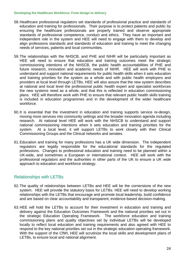- 58.Healthcare professional regulators set standards of professional practice and standards of education and training for professionals. Their purpose is to protect patients and public by ensuring the healthcare professionals are properly trained and observe appropriate standards of professional competence, conduct and ethics. They have an important and independent role in the system and HEE will need to engage with them to develop and align professions standards and standards of education and training to meet the changing needs of services, patients and local communities.
- 59.The relationships with the NHSCB, and PHE and NIHR will be particularly important as HEE will need to ensure that education and training outcomes meet the strategic commissioning intentions of the NHSCB, the public health accountabilities of PHE and future research, innovation and academic needs of NIHR. HEE will work with PHE to understand and support national requirements for public health skills when it sets education and training priorities for the system as a whole and with public health employers and providers at local level through LETBs. HEE will also assure that the new system describes at national and local level the professional public health expert and specialist workforces the new systems need as a whole, and that this is reflected in education commissioning plans. HEE will therefore work with PHE to ensure that relevant public health skills training is included in education programmes and in the development of the wider healthcare workforce.
- 60.It is essential that the investment in education and training supports service re-design, moving more services into community settings and the broader innovation agenda including research. At national level HEE will work with the NHSCB to understand and support national commissioning intentions when it sets education and training priorities for the system. At a local level, it will support LETBs to work closely with their Clinical Commissioning Groups and the Clinical networks and senates.
- 61.Education and training for many professions has a UK wide dimension. The independent regulators are legally responsible for the educational standards for the regulated professions. Changes to professional education and training need to be planned within a UK-wide, and sometimes a European or international context. HEE will work with the professional regulators and the authorities in other parts of the UK to ensure a UK wide approach to education and workforce strategy.

# Relationships with LETBs

- 62.The quality of relationships between LETBs and HEE will be the cornerstone of the new system. HEE will provide the statutory basis for LETBs. HEE will need to develop working relationships with the LETBs that encourage and promote local leadership, build confidence and are based on clear accountability and transparent, evidence-based decision-making.
- 63.HEE will hold the LETBs to account for their investment in education and training and delivery against the Education Outcomes Framework and the national priorities set out in the strategic Education Operating Framework. The workforce education and training commissioning plans and quality objectives set by individual LETBs will be developed locally to reflect local education and training requirements and also agreed with HEE to respond to the key national priorities set out in the strategic education operating framework. With the support of the CfWI, HEE will scrutinize the local skills and development plans of LETBs, to ensure local and national alignment.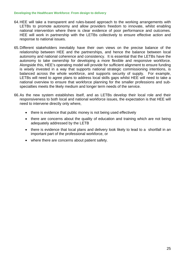- 64.HEE will take a transparent and rules-based approach to the working arrangements with LETBs to promote autonomy and allow providers freedom to innovate, whilst enabling national intervention where there is clear evidence of poor performance and outcomes. HEE will work in partnership with the LETBs collectively to ensure effective action and response to national issues.
- 65.Different stakeholders inevitably have their own views on the precise balance of the relationship between HEE and the partnerships, and hence the balance between local autonomy and national coherence and consistency. It is essential that the LETBs have the autonomy to take ownership for developing a more flexible and responsive workforce. Alongside this, HEE's operating model will provide for sufficient alignment to ensure funding is wisely invested in a way that supports national strategic commissioning intentions, is balanced across the whole workforce, and supports security of supply. For example, LETBs will need to agree plans to address local skills gaps whilst HEE will need to take a national overview to ensure that workforce planning for the smaller professions and subspecialties meets the likely medium and longer term needs of the service.
- 66.As the new system establishes itself, and as LETBs develop their local role and their responsiveness to both local and national workforce issues, the expectation is that HEE will need to intervene directly only where,
	- there is evidence that public money is not being used effectively
	- there are concerns about the quality of education and training which are not being adequately addressed by the LETB
	- there is evidence that local plans and delivery look likely to lead to a shortfall in an important part of the professional workforce, or
	- where there are concerns about patient safety.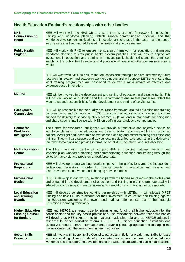|  | Health Education England's relationships with other bodies |
|--|------------------------------------------------------------|
|  |                                                            |

| <b>NHS</b><br><b>Commissioning</b><br><b>Board</b>               | HEE will work with the NHS CB to ensure that its strategic framework for education,<br>training and workforce planning reflects service commissioning priorities, and that<br>workforce development implications of innovation and changes in the pattern and nature of<br>services are identified and addressed in a timely and effective manner.                                                                                                                                                                 |
|------------------------------------------------------------------|--------------------------------------------------------------------------------------------------------------------------------------------------------------------------------------------------------------------------------------------------------------------------------------------------------------------------------------------------------------------------------------------------------------------------------------------------------------------------------------------------------------------|
| <b>Public Health</b><br><b>England</b>                           | HEE will work with PHE to ensure the strategic framework for education, training and<br>workforce planning reflects public health system priorities. This will ensure appropriate<br>investment in education and training in relevant public health skills and the continued<br>supply of the public health experts and professional specialists the system needs as a<br>whole.                                                                                                                                   |
|                                                                  | HEE will work with NIHR to ensure that education and training plans are informed by future<br>research, innovation and academic workforce needs and will support LETBs to ensure that<br>local training programmes are positioned to deliver a rapid uptake of effective and<br>evidence based innovation.                                                                                                                                                                                                         |
| <b>Monitor</b>                                                   | HEE will be involved in the development and setting of education and training tariffs. This<br>will include working with Monitor and the Department to ensure that processes reflect the<br>wider roles and responsibilities for the development and setting of service tariffs.                                                                                                                                                                                                                                   |
| <b>Care Quality</b><br><b>Commission</b>                         | HEE will be responsible for the quality assurance framework around education and training<br>commissioning and will work with CQC to ensure that education and training outcomes<br>support the delivery of service quality outcomes. CQC will ensure standards are being met<br>and share specific intelligence with HEE on staffing standards and competencies.                                                                                                                                                  |
| <b>Centre for</b><br><b>Workforce</b><br>Intelligence            | The Centre for Workforce Intelligence will provide authoritative and objective advice on<br>workforce planning to the education and training system and support HEE in providing<br>national oversight and leadership on workforce planning and commissioning education and<br>training. They will also support and advise local provider-led partnerships in the delivery of<br>their workforce plans and provide information to DH/HEE to inform resource allocation.                                            |
| <b>NHS Information</b><br><b>Centre</b>                          | The NHS Information Centre will support HEE in providing national oversight and<br>leadership on workforce planning and commissioning education and training through the<br>collection, analysis and provision of workforce data.                                                                                                                                                                                                                                                                                  |
| <b>Professional</b><br><b>Regulators</b>                         | HEE will develop strong working relationships with the professions and the independent<br>professional regulators in order to promote quality in education and training and<br>responsiveness to innovation and changing service models.                                                                                                                                                                                                                                                                           |
| <b>Professional</b><br><b>Bodies</b>                             | HEE will develop strong working relationships with the bodies representing the professions<br>and engaged in the development of education and training in order to promote quality in<br>education and training and responsiveness to innovation and changing service models.                                                                                                                                                                                                                                      |
| <b>Local Education</b><br>and Training<br><b>Boards</b>          | HEE will develop constructive working partnerships with LETBs. It will allocate MPET<br>funding and hold LETBs to account for their investment in education and training against<br>the Education Outcomes Framework and national priorities set out in the strategic<br><b>Education Operating framework.</b>                                                                                                                                                                                                     |
| <b>Higher Education</b><br><b>Funding Council</b><br>for England | HEE and HEFCE are responsible for planning and funding all higher education for the<br>health sector and the key health professions. The relationship between these two bodies<br>will develop as HEE takes on its full national leadership role and as HEFCE adapts in<br>response to higher education reform. HEE, HEFCE, higher education institutions and<br>LETBs will need to share information and deliver a joined-up approach to managing the<br>risk associated with the investment in health education. |
| <b>Sector Skills</b><br><b>Councils</b>                          | HEE will work with Sector Skills Councils, particularly Skills for Health and Skills for Care<br>who are working closely to develop competencies across the health and social care<br>workforce and to support the development of the wider healthcare and public health teams.                                                                                                                                                                                                                                    |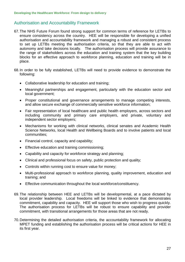# Authorisation and Accountability Framework

- 67.The NHS Future Forum found strong support for common terms of reference for LETBs to ensure consistency across the country. HEE will be responsible for developing a unified authorisation and accountability framework and managing a robust and consistent process to set up LETBs meeting the authorisation criteria, so that they are able to act with autonomy and take decisions locally. The authorisation process will provide assurance to the range of stakeholders across the education and training system that the key building blocks for an effective approach to workforce planning, education and training will be in place.
- 68.In order to be fully established, LETBs will need to provide evidence to demonstrate the following:
	- Collaborative leadership for education and training;
	- Meaningful partnerships and engagement, particularly with the education sector and local government;
	- Proper constitutional and governance arrangements to manage competing interests, and allow secure exchange of commercially sensitive workforce information;
	- Fair representation of local healthcare and public health employers, across sectors and including community and primary care employers, and private, voluntary and independent sector employers;
	- Mechanisms for working with clinical networks, clinical senates and Academic Health Science Networks, local Health and Wellbeing Boards and to involve patients and local communities;
	- Financial control, capacity and capability;
	- **Effective education and training commissioning;**
	- Capability and capacity for workforce strategy and planning;
	- Clinical and professional focus on safety, public protection and quality;
	- Controls within running cost to ensure value for money;
	- Multi-professional approach to workforce planning, quality improvement, education and training; and
	- Effective communication throughout the local workforce/constituency.
- commitment, capability and capacity. HEE will support those who wish to progress quickly. 69.The relationship between HEE and LETBs will be developmental, at a pace dictated by local provider leadership. Local freedoms will be linked to evidence that demonstrates The authorisation process for LETBs will be robust to ensure capability and provider commitment, with transitional arrangements for those areas that are not ready.
- 70.Determining the detailed authorisation criteria, the accountability framework for allocating MPET funding and establishing the authorisation process will be critical actions for HEE in its first year.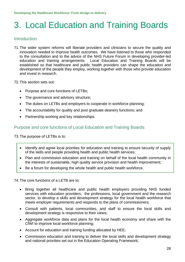# 3. Local Education and Training Boards

# **Introduction**

- 71.The wider system reforms will liberate providers and clinicians to secure the quality and innovation needed to improve health outcomes. We have listened to those who responded to the consultation and to the advice of the NHS Future Forum in developing provider-led education and training arrangements. Local Education and Training Boards will be established so that healthcare and public health providers can shape the education and development of the people they employ, working together with those who provide education and invest in research.
- 72.This section sets out:
	- Purpose and core functions of LETBs:
	- The governance and advisory structure;
	- The duties on LETBs and employers to cooperate in workforce planning;
	- The accountability for quality and post graduate deanery functions; and
	- Partnership working and key relationships.

## Purpose and core functions of Local Education and Training Boards

73.The purpose of LETBs is to:

- Identify and agree local priorities for education and training to ensure security of supply of the skills and people providing health and public health services;
- Plan and commission education and training on behalf of the local health community in the interests of sustainable, high quality service provision and health improvement;
- Be a forum for developing the whole health and public health workforce.

74.The core functions of a LETB are to:

- Bring together all healthcare and public health employers providing NHS funded services with education providers, the professions, local government and the research sector, to develop a skills and development strategy for the local health workforce that meets employer requirements and responds to the plans of commissioners;
- Consult with patients, local communities, and staff to ensure the local skills and development strategy is responsive to their views;
- Aggregate workforce data and plans for the local health economy and share with the CfWI to improve local workforce planning;
- Account for education and training funding allocated by HEE;
- Commission education and training to deliver the local skills and development strategy and national priorities set out in the Education Operating Framework;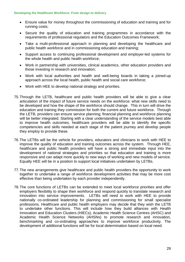- Ensure value for money throughout the commissioning of education and training and for running costs;
- Secure the quality of education and training programmes in accordance with the requirements of professional regulators and the Education Outcomes Framework;
- Take a multi-professional approach in planning and developing the healthcare and public health workforce and in commissioning education and training;
- Support access to continuing professional development and employer-led systems for the whole health and public health workforce;
- Work in partnership with universities, clinical academics, other education providers and those investing in research and innovation;
- Work with local authorities and health and well-being boards in taking a joined-up approach across the local health, public health and social care workforce;
- Work with HEE to develop national strategy and priorities.
- 75.Through the LETB, healthcare and public health providers will be able to give a clear articulation of the impact of future service needs on the workforce: what new skills need to be developed and how the shape of the workforce should change. This in turn will drive the education and training they commission for both the current and future workforce. Through the LETB, providers can ensure service planning; financial planning and workforce planning will be better integrated. Starting with a clear understanding of the service models best able to improve health outcomes, healthcare providers will be able to identify the specific competencies and skills needed at each stage of the patient journey and develop people they employ to provide these.
- 76.The LETBs will be the vehicle for providers, educators and clinicians to work with HEE to improve the quality of education and training outcomes across the system. Through HEE, healthcare and public health providers will have a strong and immediate input into the development of national strategies and priorities so that education and training is more responsive and can adapt more quickly to new ways of working and new models of service. Equally HEE will be in a position to support local initiatives undertaken by LETBs.
- 77.The new arrangements give healthcare and public health providers the opportunity to work together to undertake a range of workforce development activities that may be more cost effective than being undertaken by each provider independently.
- 78.The core functions of LETBs can be extended to meet local workforce priorities and offer employers flexibility to shape their workforce and respond quickly to translate research and innovation into service improvements. LETBs will need to work with HEE to provide nationally co-ordinated leadership for planning and commissioning for small specialist professions. Healthcare and public health employers may decide that they wish the LETB to undertake other functions. This will include how they build alliances with Health Innovation and Education Clusters (HIECs), Academic Health Science Centres (AHSC) and Academic Health Science Networks (AHSNs) to promote research and innovation, benchmarking and co-ordinating approaches to improve workforce productivity. The development of additional functions will be for local determination based on local need.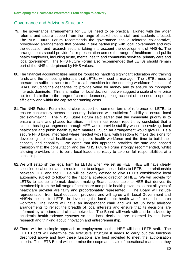### Governance and Advisory Structure

- 79. The governance arrangements for LETBs need to be practical, aligned with the wider reforms and secure support from the range of stakeholders, staff and students affected. The NHS Future Forum recommends the governance should reinforce collaborative, provider-led arrangements that operate in true partnership with local government and with the education and research sectors, taking into account the development of AHSNs. The arrangements should provide fair representation across the range of healthcare and public health employers, including acute, mental health and community services, primary care and local government. The NHS Future Forum also recommended that LETBs should remain part of the NHS underpinned by NHS values.
- 80.The financial accountabilities must be robust for handling significant education and training funds and the competing interests that LETBs will need to manage. The LETBs need to operate on sufficient scale to offer a safe transition for the enduring workforce functions of SHAs, including the deaneries, to provide value for money and to ensure no monopoly interests dominate. This is a matter for local decision, but we suggest a scale of enterprise not too dissimilar to the range of current deaneries, taking account of the need to operate efficiently and within the cap set for running costs.
- 81.The NHS Future Forum found clear support for common terms of reference for LETBs to ensure consistency across the country, balanced with sufficient flexibility to ensure local decision-making. The NHS Future Forum said earlier that the immediate priority is to ensure a safe and phased transition. In their most recent report they concluded that a simple, hosting arrangement through HEE would provide stability whilst the evolving, local healthcare and public health system matures. Such an arrangement would give LETBs a secure NHS base, integrated where needed with HEIs, with freedom to make decisions for developing the local healthcare and public health workforce and the time to build their capacity and capability. We agree that this approach provides the safe and phased transition that the consultation and the NHS Future Forum strongly recommended, whilst allowing providers time to build local leadership ready to take on full responsibilities at a sensible pace.
- 82. We will establish the legal form for LETBs when we set up HEE. HEE will have clearly autonomy, subject to following the national strategic direction of HEE. We will provide for specified local duties and a requirement to delegate those duties to LETBs; the relationship between HEE and the LETBs will be clearly defined to give LETBs considerable local LETBs to set up a formal, decision-making Board accountable to HEE that derives its membership from the full range of healthcare and public health providers so that all types of healthcare provider are fairly and proportionately represented. The Board will include representation from local education providers and will agree with Local Government and AHSNs the role for LETBs in developing the local public health workforce and research workforce. The Board will have an independent chair and will set up local advisory arrangements to reflect the breadth of local interests and ensure that its decisions are informed by clinicians and clinical networks. The Board will work with and be advised by academic health science systems so that local decisions are informed by the latest research and thinking about innovation and entrepreneurship.
- 83.There will be a simple approach to employment so that HEE will host LETB staff. The LETB Board will determine the executive structure it needs to carry out the functions described above and how these functions are best provided to meet the authorisation criteria. The LETB Board will determine the scope and scale of operational teams that they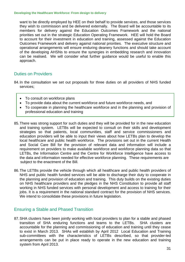want to be directly employed by HEE on their behalf to provide services, and those services they wish to commission and be delivered externally. The Board will be accountable to its members for delivery against the Education Outcomes Framework and the national priorities set out in the strategic Education Operating Framework. HEE will hold the Board to account for their investment in education and training, assessed against the Education Outcomes Framework and delivery against national priorities. The executive structure and operational arrangements will ensure enduring deanery functions and should take account of the developing AHSNs to ensure the synergies in embedding research and innovation can be realised. We will consider what further guidance would be useful to enable this approach.

# Duties on Providers

- 84.In the consultation we set out proposals for three duties on all providers of NHS funded services;
	- To consult on workforce plans
	- To provide data about the current workforce and future workforce needs, and
	- To cooperate in planning the healthcare workforce and in the planning and provision of professional education and training
- 85.There was strong support for such duties and they will be provided for in the new education and training system. LETBs will be expected to consult on their skills and development strategies so that patients, local communities, staff and service commissioners and education providers will be able to input their views about how LETBs plan to develop the local healthcare and public health workforce. The provisions set out in the current Health and Social Care Bill for the provision of relevant data and information will include a requirement on providers to make available workforce and workforce planning data so that LETBs, the Information Centre and the Centre for Workforce Intelligence have access to the data and information needed for effective workforce planning. These requirements are subject to the enactment of the Bill.
- 86.The LETBs provide the vehicle through which all healthcare and public health providers of NHS and public health funded services will be able to discharge their duty to cooperate in the planning and provision of education and training. This duty builds on the existing duties on NHS healthcare providers and the pledges in the NHS Constitution to provide all staff working in NHS funded services with personal development and access to training for their jobs. It is a requirement in the national standard contract for the provision of NHS services. We intend to consolidate these provisions in future legislation.

## Ensuring a Stable and Phased Transition

87.SHA clusters have been jointly working with local providers to plan for a stable and phased transition of SHA enduring functions and teams to the LETBs. SHA clusters are accountable for the planning and commissioning of education and training until they cease to exist in March 2013. SHAs will establish by April 2012 Local Education and Training sub-committees with the characteristics of LETBs described, so that provider-led arrangements can be put in place ready to operate in the new education and training system from April 2013.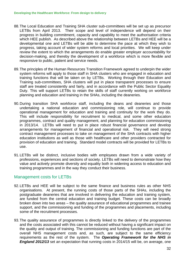- 88.The Local Education and Training SHA cluster sub-committees will be set up as precursor LETBs from April 2013. Their scope and level of independence will depend on their progress in building commitment, capacity and capability to meet the authorisation criteria which HEE publish. As described above the relationship between LETBs and HEE will be a developmental one and LETBs will be able to determine the pace at which they wish to progress, taking account of wider system reforms and local priorities. We will keep under review the extent to which the arrangements do enable greater employer accountability for decision-making, and thereby the development of a workforce which is more flexible and responsive to public, patient and service needs.
- 89.The principles of the Human Resources Transition Framework agreed to underpin the wider system reforms will apply to those staff in SHA clusters who are engaged in education and training functions that will be taken on by LETBs. Working through their Education and Training sub-committees, SHA clusters will put in place transparent processes to ensure staff are treated consistently and fairly, and in accordance with the Public Sector Equality Duty. This will support LETBs to retain the skills of staff currently working on workforce planning and education and training in the SHAs, including the deaneries.
- 90.During transition SHA workforce staff, including the deans and deaneries and those undertaking a national education and commissioning role, will continue to provide operational management for education and training and continuity for the work they do. This will include responsibility for recruitment to medical, and some other education programmes, contract and quality management, and planning for education commissioning in 2013/14. LETBs will need to put in place robust financial governance and develop arrangements for management of financial and operational risk. They will need strong contract management processes to take on management of the SHA contracts with higher education institutions as well as those with healthcare and other providers contracted for provision of education and training. Standard model contracts will be provided for LETBs to use.
- 91.LETBs will be distinct, inclusive bodies with employees drawn from a wide variety of professions, experiences and sections of society. LETBs will need to demonstrate how they value and actively promote diversity and equality both in widening access to education and training programmes and in the way they conduct their business.

## Management costs for LETBs

- 92.LETBs and HEE will be subject to the same finance and business rules as other NHS organisations. At present, the running costs of those parts of the SHAs, including the postgraduate deaneries that are involved in delivering the education and training system, are funded from the central education and training budget. These costs can be broadly broken down into two areas – the quality assurance of educational programmes and trainee support, and the commissioning and funding of the programmes and placements, including some of the recruitment processes.
- 93.The quality assurance of programmes is directly linked to the delivery of the programmes and the costs associated with this cannot be reduced without having a significant impact on the quality and output of training. The commissioning and funding functions are part of the overall NHS management costs and, as such, are subject to the same efficiency requirements as the rest of the system. The *Operating Framework for the NHS in England 2012/13* set an expectation that running costs in 2014/15 will be, on average, one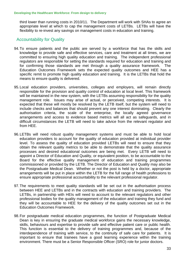third lower than running costs in 2010/11. The Department will work with SHAs to agree an appropriate level at which to cap the management costs of LETBs. LETBs will have the flexibility to re-invest any savings on management costs in education and training.

### Accountability for Quality

- 94.To ensure patients and the public are served by a workforce that has the skills and knowledge to provide safe and effective services, care and treatment at all times, we are committed to ensuring high quality education and training. The independent professional regulators are responsible for setting the standards required for education and training and for confirming those standards are met through a quality assurance framework. The Education Outcomes Framework sets the expected quality outcomes and HEE has a specific remit to promote high quality education and training. It is the LETBs that hold the means to ensure quality is delivered.
- 95.Local education providers, universities, colleges and employers, will remain directly responsible for the provision and quality control of education at local level. This framework will be maintained in the new system, with the LETBs assuming responsibility for the quality management role. Issues may arise of actual, or perceived, competing interests. It is expected that these will mostly be resolved by the LETB itself, but the system will need to include checks and balances that should prevent any one interest dominating. Clearly the authorisation criteria, the scale of the enterprise, the locally agreed governance arrangements and access to evidence based metrics will all act as safeguards, and in difficult circumstances the LETB will need to take advice from the relevant regulator and from HEE.
- 96.LETBs will need robust quality management systems and must be able to hold local education providers to account for the quality of education provided at individual provider level. To assess the quality of education provided LETBs will need to ensure that they obtain the relevant quality metrics to be able to demonstrate that the quality assurance processes and desired educational outcomes are being met. Every LETB will need to appoint a Director of Education and Quality, or equivalent position, to be accountable to the Board for the effective quality management of education and training programmes commissioned or provided by the LETB. The Director of Education and Quality may also be the Postgraduate Medical Dean. Whether or not the post is held by a doctor, appropriate arrangements will be put in place within the LETB for the full range of health professions to ensure appropriate professional accountability to the relevant professional regulator.
- 97.The requirements to meet quality standards will be set out in the authorisation process between HEE and LETBs and in the contracts with education and training providers. The LETBs, in partnership with HEIs will need to account to the relevant regulators and other professional bodies for the quality management of the education and training they fund and they will be accountable to HEE for the delivery of the quality outcomes set out in the Education Outcomes Framework.
- 98.For postgraduate medical education programmes, the function of Postgraduate Medical Dean is key in ensuring the graduate medical workforce gains the necessary knowledge, skills, behaviours and expertise to provide safe and effective patient care or public health. This function is essential to the delivery of training programmes and, because of the interdependence of training with service, to the continuity of safe care for patients. It is important to ensure that trainees have a good learning experience within the training environment. There must be a Senior Responsible Officer (SRO) role for junior doctors.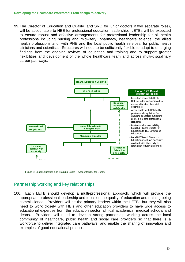99.The Director of Education and Quality (and SRO for junior doctors if two separate roles), will be accountable to HEE for professional education leadership. LETBs will be expected to ensure robust and effective arrangements for professional leadership for all health professions including nursing and midwifery, pharmacy, healthcare science, the allied health professions and, with PHE and the local public health services, for public health clinicians and scientists. Structures will need to be sufficiently flexible to adapt to emerging findings from the ongoing reviews of education and training and to support greater flexibilities and development of the whole healthcare team and across multi-disciplinary career pathways.



Figure 5: Local Education and Training Board – Accountability for Quality

# Partnership working and key relationships

100. Each LETB should develop a multi-professional approach, which will provide the appropriate professional leadership and focus on the quality of education and training being commissioned. Providers will be the primary leaders within the LETBs but they will also need to work closely with HEIs and other education providers to have wide access to educational expertise from the education sector, clinical academics, medical schools and deans. Providers will need to develop strong partnership working across the local community of healthcare, public health and social care providers so that there is a workforce to deliver integrated care pathways, and enable the sharing of innovation and examples of good educational practice.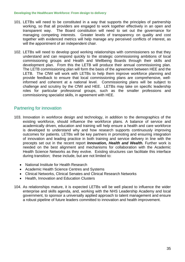- will the appointment of an independent chair. 101. LETBs will need to be constituted in a way that supports the principles of partnership working, so that all providers are engaged to work together effectively in an open and transparent way. The Board constitution will need to set out the governance for managing competing interests. Greater levels of transparency on quality and cost together with evidenced metrics will help manage any perceived conflicts of interest, as
- development plan. From this the LETB will produce their annual commissioning plan.<br>The LETB commissioning plan will form the basis of the agreement between HEE and the 102. LETBs will need to develop good working relationships with commissioners so that they understand and can respond quickly to the strategic commissioning ambitions of local commissioning groups and Health and Wellbeing Boards through their skills and LETB. The CfWI will work with LETBs to help them improve workforce planning and provide feedback to ensure that local commissioning plans are comprehensive, wellinformed and coherent at a national level. Commissioning plans will be subject to challenge and scrutiny by the CfWI and HEE. LETBs may take on specific leadership roles for particular professional groups, such as the smaller professions and commissioning specialist skills, in agreement with HEE.

## Partnering for innovation

- 103. Innovation in workforce design and technology, in addition to the demographics of the existing workforce, should influence the workforce plans. A balance of service and academically driven, education and training will help ensure a health and care workforce is developed to understand why and how research supports continuously improving outcomes for patients. LETBs will be key partners in promoting and ensuring integration of innovation and leading practice in both training and service delivery in line with the precepts set out in the recent report *Innovation, Health and Wealth.* Further work is needed on the best alignment and mechanisms for collaboration with the Academic Health Science Networks as they evolve. Existing structures can facilitate this interface during transition; these include, but are not limited to:
	- National Institute for Health Research
	- Academic Health Science Centres and Systems
	- Clinical Networks, Clinical Senates and Clinical Research Networks
	- Health, Innovation and Education Clusters
- 104. As relationships mature, it is expected LETBs will be well placed to influence the wider enterprise and skills agenda, and, working with the NHS Leadership Academy and local government, to sponsor a universally applied approach to talent management and ensure a robust pipeline of future leaders committed to innovation and health improvement.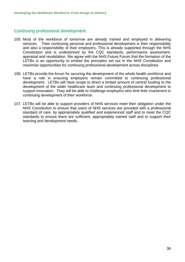## Continuing professional development

- 105. Most of the workforce of tomorrow are already trained and employed in delivering services. Their continuing personal and professional development is their responsibility and also a responsibility of their employers. This is already supported through the NHS Constitution and is underpinned by the CQC standards, performance assessment, appraisal and revalidation. We agree with the NHS Future Forum that the formation of the LETBs is an opportunity to embed the principles set out in the NHS Constitution and maximise opportunities for continuing professional development across disciplines.
- 106. LETBs provide the forum for securing the development of the whole health workforce and have a role in ensuring employers remain committed to continuing professional development. LETBs will have scope to direct a limited amount of central funding to the development of the wider healthcare team and continuing professional development to support innovation. They will be able to challenge employers who limit their investment in continuing development of their workforce.
- 107. LETBs will be able to support providers of NHS services meet their obligation under the NHS Constitution to ensure that users of NHS services are provided with a professional standard of care, by appropriately qualified and experienced staff and to meet the CQC standards to ensure there are sufficient, appropriately trained staff and to support their learning and development needs.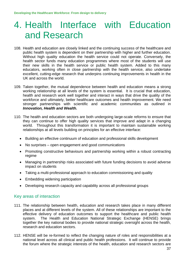# 4. Health Interface with Education and Research

- 108. Health and education are closely linked and the continuing success of the healthcare and public health system is dependent on their partnership with higher and further education. Without high quality education the health service could not operate. Conversely, the health sector funds many education programmes where most of the students will use their new skills in the health service or public health system. Added to this many educators, working often in close partnership with the health service, also undertake excellent, cutting-edge research that underpins continuing improvements in health in the UK and across the world.
- 109. Taken together, the mutual dependence between health and education means a strong working relationship at all levels of the system is essential. It is crucial that education, health and research work well together and interact in ways that drive the quality of the workforce and ultimately, better healthcare outcomes and health improvement. We need stronger partnerships with scientific and academic communities as outlined in *Innovation, Health and Wealth.*
- 110. The health and education sectors are both undergoing large-scale reforms to ensure that they can continue to offer high quality services that improve and adapt in a changing world. Throughout this transformation it is important to maintain sustainable working relationships at all levels building on principles for an effective interface:
	- Building an effective continuum of education and professional skills development
	- No surprises open engagement and good communications
	- Promoting constructive behaviours and partnership working within a robust contracting regime
	- Managing in partnership risks associated with future funding decisions to avoid adverse impact on students
	- Taking a multi-professional approach to education commissioning and quality
	- Embedding widening participation
	- Developing research capacity and capability across all professional groups

## Key areas of interaction

- 111. The relationship between health, education and research takes place in many different places and at different levels of the system. All of these relationships are important to the effective delivery of education outcomes to support the healthcare and public health system. The Health and Education National Strategic Exchange (HENSE) brings together the key national bodies to provide national strategic oversight across the health, research and education sectors.
- 112. HENSE will be re-formed to reflect the changing nature of roles and responsibilities at a national level across all clinical and public health professions. It will continue to provide the forum where the strategic interests of the health, education and research sectors are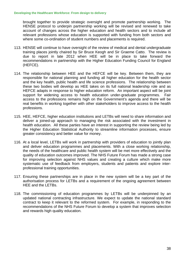brought together to provide strategic oversight and promote partnership working. The HENSE protocol to underpin partnership working will be revised and renewed to take account of changes across the higher education and health sectors and to include all relevant professions whose education is supported with funding from both sectors and where some co-ordination of student numbers and placements is required.

- 113. HENSE will continue to have oversight of the review of medical and dental undergraduate training places jointly chaired by Sir Bruce Keogh and Sir Graeme Catto. The review is due to report in late 2012 when HEE will be in place to take forward the recommendations in partnership with the Higher Education Funding Council for England (HEFCE).
- 114. The relationship between HEE and the HEFCE will be key. Between them, they are responsible for national planning and funding all higher education for the health sector and the key health, public health and life science professions. The relationship between these two bodies will develop as HEE takes on its full national leadership role and as HEFCE adapts in response to higher education reform. An important aspect will be joint support for widening access to health education under-graduate programmes. Fair access to the professions remains high on the Government's agenda and there will be real benefits in working together with other stakeholders to improve access to the health professions.
- 115. HEE, HEFCE, higher education institutions and LETBs will need to share information and deliver a joined-up approach to managing the risk associated with the investment in health education. All these parties have an interest in supporting the review being led by the Higher Education Statistical Authority to streamline information processes, ensure greater consistency and better value for money.
- 116. At a local level, LETBs will work in partnership with providers of education to jointly plan and deliver education programmes and placements. With a close working relationship, the needs of the healthcare and public health system will be met more effectively and the quality of education outcomes improved. The NHS Future Forum has made a strong case for improving selection against NHS values and creating a culture which make more systematic use of feedback from employers, students and patients and explore interprofessional training opportunities.
- 117. Ensuring these partnerships are in place in the new system will be a key part of the authorisation process for LETBs and a requirement of the ongoing agreement between HEE and the LETBs.
- 118. The commissioning of education programmes by LETBs will be underpinned by an updated national contracting infrastructure. We expect to update the national standard contract to keep it relevant to the reformed system. For example, in responding to the recommendations of the NHS Future Forum to develop a system that improves selection and rewards high quality education.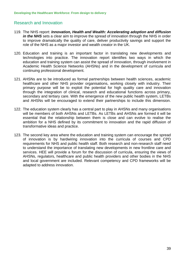# Research and Innovation

- 119. The NHS report: *Innovation, Health and Wealth: Accelerating adoption and diffusion in the NHS* sets a clear aim to improve the spread of innovation through the NHS in order to improve dramatically the quality of care, deliver productivity savings and support the role of the NHS as a major investor and wealth creator in the UK.
- 120. Education and training is an important factor in translating new developments and technologies into practice. The innovation report identifies two ways in which the education and training system can assist the spread of innovation, through involvement in Academic Health Science Networks (AHSNs) and in the development of curricula and continuing professional development.
- 121. AHSNs are to be introduced as formal partnerships between health sciences, academic healthcare and other NHS provider organisations, working closely with industry. Their primary purpose will be to exploit the potential for high quality care and innovation through the integration of clinical, research and educational functions across primary, secondary and tertiary care. With the emergence of the new public health system, LETBs and AHSNs will be encouraged to extend their partnerships to include this dimension.
- 122. The education system clearly has a central part to play in AHSNs and many organisations will be members of both AHSNs and LETBs. As LETBs and AHSNs are formed it will be essential that the relationship between them is close and can evolve to realise the ambition for a NHS defined by its commitment to innovation and the rapid diffusion of transformative ideas and practice.
- 123. The second key area where the education and training system can encourage the spread of innovation is by hardwiring innovation into the curricula of courses and CPD requirements for NHS and public health staff. Both research and non-research staff need to understand the importance of translating new developments in new frontline care and services. HEE will provide a forum for the discussion of curricula, ensuring the views of AHSNs, regulators, healthcare and public health providers and other bodies in the NHS and local government are included. Relevant competency and CPD frameworks will be adapted to address innovation.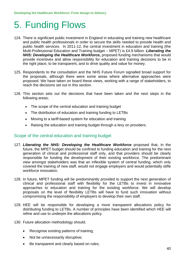# 5. Funding Flows

- 124. There is significant public investment in England in educating and training new healthcare and public health professionals in order to secure the skills needed to provide health and public health services. In 2011-12, the central investment in education and training (the Multi-Professional Education and Training budget – MPET) is £4.9 billion. *Liberating the NHS: Developing the Healthcare Workforce***,** proposed funding mechanisms that would provide incentives and allow responsibility for education and training decisions to be in the right place, to be transparent, and to drive quality and value for money.
- 125. Respondents to the consultation and the NHS Future Forum signalled broad support for the proposals, although there were some areas where alternative approaches were proposed. We have taken on board these views, working with a range of stakeholders, to reach the decisions set out in this section.
- 126. This section sets out the decisions that have been taken and the next steps in the following areas;
	- The scope of the central education and training budget
	- The distribution of education and training funding to LETBs
	- Moving to a tariff-based system for education and training
	- Raising the education and training budget through a levy on providers.

## Scope of the central education and training budget

- 127. *Liberating the NHS: Developing the Healthcare Workforce* proposed that, in the future, the MPET budget should be confined to funding education and training for the next generation of clinical and professional staff only, and that providers should be clearly responsible for funding the development of their existing workforce. The predominant view amongst stakeholders was that an inflexible system of central funding, which only covered the training of new staff, would not engage employers and would potentially stifle workforce innovation.
- 128. In future, MPET funding will be predominantly provided to support the next generation of clinical and professional staff with flexibility for the LETBs to invest in innovative approaches to education and training for the existing workforce. We will develop proposals on the level of flexibility LETBs will have to fund such innovation without compromising the responsibility of employers to develop their own staff.
- 129. HEE will be responsible for developing a more transparent allocations policy for distributing funding to LETBs. A number of principles have been identified which HEE will refine and use to underpin the allocations policy.
- 130. Future allocation methodology should;
	- Recognise existing patterns of training;
	- Not be unnecessarily disruptive;
	- Be transparent and clearly based on rules;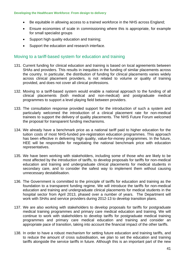- Be equitable in allowing access to a trained workforce in the NHS across England;
- Ensure economies of scale in commissioning where this is appropriate, for example for small specialist groups
- Support high quality education and training:
- Support the education and research interface.

### Moving to a tariff-based system for education and training

- 131. Current funding for clinical education and training is based on local agreements between SHAs and providers. This results in inequities in the funding of similar placements across the country. In particular, the distribution of funding for clinical placements varies widely across clinical placement providers, is not related to volume or quality of training provided, and does not cover all clinical professions.
- 132. Moving to a tariff-based system would enable a national approach to the funding of all clinical placements (both medical and non-medical) and postgraduate medical programmes to support a level playing field between providers.
- 133. The consultation response provided support for the introduction of such a system and particularly welcomed the introduction of a clinical placement rate for non-medical trainees to support the delivery of quality placements. The NHS Future Forum welcomed the proposal for transparent funding mechanisms.
- 134. We already have a benchmark price as a national tariff paid to higher education for the tuition costs of most NHS-funded pre-registration education programmes. This approach has been effective in delivering high quality, value-for-money programmes. In the future, HEE will be responsible for negotiating the national benchmark price with education representatives.
- 135. We have been working with stakeholders, including some of those who are likely to be most affected by the introduction of tariffs, to develop proposals for tariffs for non-medical education and training and undergraduate clinical placements for medical students in secondary care, and to consider the safest way to implement them without causing unnecessary destabilisation.
- 136. The Government is committed to the principle of tariffs for education and training as the foundation to a transparent funding regime. We will introduce the tariffs for non-medical education and training and undergraduate clinical placements for medical students in the hospital sector from April 2013, phased over a number of years. The Department will work with SHAs and service providers during 2012-13 to develop transition plans.
- 137. We are also working with stakeholders to develop proposals for tariffs for postgraduate medical training programmes and primary care medical education and training. We will continue to work with stakeholders to develop tariffs for postgraduate medical training programmes and primary care medical education and training and consider an appropriate pace of transition, taking into account the financial impact of the other tariffs.
- 138. In order to have a robust mechanism for setting future education and training tariffs, and to reduce the amount of cross subsidisation, we plan to set the education and training tariffs alongside the service tariffs in future. Although this is an important part of the new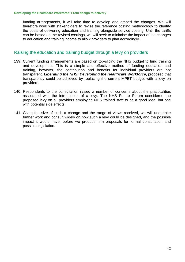funding arrangements, it will take time to develop and embed the changes. We will therefore work with stakeholders to revise the reference costing methodology to identify the costs of delivering education and training alongside service costing. Until the tariffs can be based on the revised costings, we will seek to minimise the impact of the changes to education and training income to allow providers to plan accordingly.

### Raising the education and training budget through a levy on providers

- 139. Current funding arrangements are based on top-slicing the NHS budget to fund training and development. This is a simple and effective method of funding education and training, however, the contribution and benefits for individual providers are not transparent. *Liberating the NHS: Developing the Healthcare Workforce*, proposed that transparency could be achieved by replacing the current MPET budget with a levy on providers.
- 140. Respondents to the consultation raised a number of concerns about the practicalities associated with the introduction of a levy. The NHS Future Forum considered the proposed levy on all providers employing NHS trained staff to be a good idea, but one with potential side effects.
- 141. Given the size of such a change and the range of views received, we will undertake further work and consult widely on how such a levy could be designed, and the possible impact it would have, before we produce firm proposals for formal consultation and possible legislation.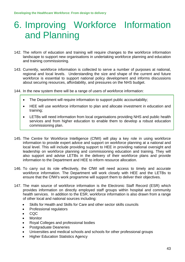# 6. Improving Workforce Information and Planning

- 142. The reform of education and training will require changes to the workforce information landscape to support new organisations in undertaking workforce planning and education and training commissioning.
- 143. Currently, workforce information is collected to serve a number of purposes at national, regional and local levels. Understanding the size and shape of the current and future workforce is essential to support national policy development and informs discussions about securing resources, affordability, and pressures on the NHS budget.
- 144. In the new system there will be a range of users of workforce information:
	- The Department will require information to support public accountability;
	- HEE will use workforce information to plan and allocate investment in education and training;
	- LETBs will need information from local organisations providing NHS and public health services and from higher education to enable them to develop a robust education commissioning plan.
- 145. The Centre for Workforce Intelligence (CfWI) will play a key role in using workforce information to provide expert advice and support on workforce planning at a national and local level. This will include providing support to HEE in providing national oversight and leadership on workforce planning and commissioning education and training. They will also support and advise LETBs in the delivery of their workforce plans and provide information to the Department and HEE to inform resource allocation.
- 146. To carry out its role effectively, the CfWI will need access to timely and accurate workforce information. The Department will work closely with HEE and the LETBs to ensure that the CfWI's work programme will support them to deliver their objectives.
- 147. The main source of workforce information is the Electronic Staff Record (ESR) which provides information on directly employed staff groups within hospital and community health services. In addition to the ESR, workforce information is also drawn from a range of other local and national sources including:
	- Skills for Health and Skills for Care and other sector skills councils
	- Professional regulators
	- $\bullet$  COC
	- **Monitor**
	- Royal Colleges and professional bodies
	- Postgraduate Deaneries
	- Universities and medical schools and schools for other professional groups
	- Higher Education Statistics Agency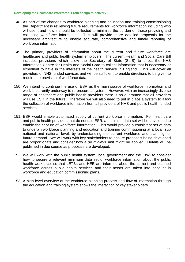- 148. As part of the changes to workforce planning and education and training commissioning the Department is reviewing future requirements for workforce information including who will use it and how it should be collected to minimise the burden on those providing and collecting workforce information. This will provide more detailed proposals for the necessary architecture to enable accurate, comprehensive and timely reporting of workforce information.
- 149. The primary providers of information about the current and future workforce are healthcare and public health system employers. The current Health and Social Care Bill includes provisions which allow the Secretary of State (SofS) to direct the NHS Information Centre for Health and Social Care to collect information that is necessary or expedient to have in the interests of the health service in England. This will cover all providers of NHS funded services and will be sufficient to enable directions to be given to require the provision of workforce data.
- 150. We intend to continue the use of ESR as the main source of workforce information and work is currently underway to re-procure a system. However, with an increasingly diverse range of healthcare and public health providers there is no guarantee that all providers will use ESR in the future. Therefore we will also need to put in place a system to allow the collection of workforce information from all providers of NHS and public health funded services.
- 151. ESR would enable automated supply of current workforce information. For healthcare and public health providers that do not use ESR, a minimum data set will be developed to enable the capture of workforce information. This would provide a consistent set of data to underpin workforce planning and education and training commissioning at a local, sub national and national level, by understanding the current workforce and planning for future demand. We will work with key stakeholders to ensure proposals being developed are proportionate and consider how a *de minimis* limit might be applied. Details will be published in due course as proposals are developed.
- 152. We will work with the public health system, local government and the CfWI to consider how to secure a relevant minimum data set of workforce information about the public health workforce, so that LETBs and HEE are informed about the current and planned workforce across public health services and their needs are taken into account in workforce and education commissioning plans.
- 153. A high level overview of the workforce planning process and flow of information through the education and training system shows the interaction of key stakeholders.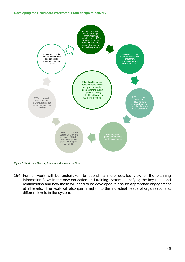

Figure 6: Workforce Planning Process and Information Flow

154. Further work will be undertaken to publish a more detailed view of the planning information flows in the new education and training system, identifying the key roles and relationships and how these will need to be developed to ensure appropriate engagement at all levels. The work will also gain insight into the individual needs of organisations at different levels in the system.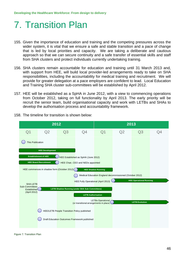# 7. Transition Plan

- 155. Given the importance of education and training and the competing pressures across the wider system, it is vital that we ensure a safe and stable transition and a pace of change that is led by local priorities and capacity. We are taking a deliberate and cautious approach so that we can secure continuity and a safe transfer of essential skills and staff from SHA clusters and protect individuals currently undertaking training.
- 156. SHA clusters remain accountable for education and training until 31 March 2013 and, with support from HEE, will build local provider-led arrangements ready to take on SHA responsibilities, including the accountability for medical training and recruitment. We will provide for greater delegation at a pace employers are confident to lead. Local Education and Training SHA cluster sub-committees will be established by April 2012.
- 157. HEE will be established as a SpHA in June 2012, with a view to commencing operations from October 2012, taking on full functionality by April 2013. The early priority will be recruit the senior team, build organisational capacity and work with LETBs and SHAs to develop the authorisation process and accountability framework.



158. The timeline for transition is shown below:

Figure 7: Transition Plan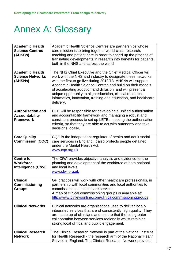# Annex A: Glossary

| <b>Academic Health</b><br><b>Science Centres</b><br>(AHSCs)           | Academic Health Science Centres are partnerships whose<br>core mission is to bring together world-class research,<br>teaching and patient care in order to speed up the process of<br>translating developments in research into benefits for patients,<br>both in the NHS and across the world.                                                                                                                                                                  |
|-----------------------------------------------------------------------|------------------------------------------------------------------------------------------------------------------------------------------------------------------------------------------------------------------------------------------------------------------------------------------------------------------------------------------------------------------------------------------------------------------------------------------------------------------|
| <b>Academic Health</b><br><b>Science Networks</b><br>(AHSNs)          | The NHS Chief Executive and the Chief Medical Officer will<br>work with the NHS and industry to designate these networks<br>with the first to go live during 2012/13. AHSNs will support<br>Academic Health Science Centres and build on their models<br>of accelerating adoption and diffusion, and will present a<br>unique opportunity to align education, clinical research,<br>informatics, innovation, training and education, and healthcare<br>delivery. |
| <b>Authorisation and</b><br><b>Accountability</b><br><b>Framework</b> | HEE will be responsible for developing a unified authorisation<br>and accountability framework and managing a robust and<br>consistent process to set up LETBs meeting the authorisation<br>criteria, so that they are able to act with autonomy and take<br>decisions locally.                                                                                                                                                                                  |
| <b>Care Quality</b><br><b>Commission (CQC)</b>                        | CQC is the independent regulator of health and adult social<br>care services in England. It also protects people detained<br>under the Mental Health Act.<br>www.cqc.org.uk                                                                                                                                                                                                                                                                                      |
| <b>Centre for</b><br><b>Workforce</b><br><b>Intelligence (CfWI)</b>   | The CfWI provides objective analysis and evidence for the<br>planning and development of the workforce at both national<br>and local levels.<br>www.cfwi.org.uk                                                                                                                                                                                                                                                                                                  |
| <b>Clinical</b><br><b>Commissioning</b><br><b>Groups</b>              | GP practices will work with other healthcare professionals, in<br>partnership with local communities and local authorities to<br>commission local healthcare services.<br>A map of clinical commissioning groups is available at:<br>http://www.binleysonline.com/clinicalcommissioninggroups                                                                                                                                                                    |
| <b>Clinical Networks</b>                                              | Clinical networks are organisations used to deliver locally<br>integrated services that are of consistently high quality. They<br>are made up of clinicians and ensure that there is greater<br>collaboration between services regionally whilst retaining<br>strong local clinical and public engagement.                                                                                                                                                       |
| <b>Clinical Research</b><br><b>Network</b>                            | The Clinical Research Network is part of the National Institute<br>for Health Research - the research arm of the National Health<br>Service in England. The Clinical Research Network provides                                                                                                                                                                                                                                                                   |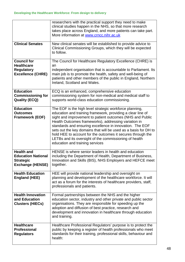|                                                                                               | researchers with the practical support they need to make<br>clinical studies happen in the NHS, so that more research<br>takes place across England, and more patients can take part.<br>More information at www.crncc.nihr.ac.uk                                                                                                                                                                                                                                                                                                      |
|-----------------------------------------------------------------------------------------------|----------------------------------------------------------------------------------------------------------------------------------------------------------------------------------------------------------------------------------------------------------------------------------------------------------------------------------------------------------------------------------------------------------------------------------------------------------------------------------------------------------------------------------------|
| <b>Clinical Senates</b>                                                                       | New clinical senates will be established to provide advice to<br>Clinical Commissioning Groups, which they will be expected<br>to follow.                                                                                                                                                                                                                                                                                                                                                                                              |
| <b>Council for</b>                                                                            | The Council for Healthcare Regulatory Excellence (CHRE) is                                                                                                                                                                                                                                                                                                                                                                                                                                                                             |
| <b>Healthcare</b><br><b>Regulatory</b>                                                        | an<br>independent organisation that is accountable to Parliament. Its                                                                                                                                                                                                                                                                                                                                                                                                                                                                  |
| <b>Excellence (CHRE)</b>                                                                      | main job is to promote the health, safety and well-being of<br>patients and other members of the public in England, Northern<br>Ireland, Scotland and Wales.                                                                                                                                                                                                                                                                                                                                                                           |
| <b>Education</b><br><b>Commissioning for</b><br><b>Quality (ECQ)</b>                          | ECQ is an enhanced, comprehensive education<br>commissioning system for non-medical and medical staff to<br>supports world-class education commissioning.                                                                                                                                                                                                                                                                                                                                                                              |
| <b>Education</b><br><b>Outcomes</b><br><b>Framework (EOF)</b>                                 | The EOF is the high level strategic workforce planning,<br>education and training framework, providing a clear line of<br>sight and improvement to patient outcomes (NHS and Public<br>Health Outcomes frameworks), addressing variation in<br>standards and ensuring excellence in innovation. The EOF<br>sets out the key domains that will be used as a basis for DH to<br>hold HEE to account for the outcomes it secures through the<br>LETBs and its oversight of the commissioning of health<br>education and training services |
| <b>Health and</b><br><b>Education National</b><br><b>Strategic</b><br><b>Exchange (HENSE)</b> | HENSE is where senior leaders in health and education<br>including the Department of Health, Department of Business,<br>Innovation and Skills (BIS), NHS Employers and HEFCE meet<br>together.                                                                                                                                                                                                                                                                                                                                         |
| <b>Health Education</b><br><b>England (HEE)</b>                                               | HEE will provide national leadership and oversight on<br>planning and development of the healthcare workforce. It will<br>act as a forum for the interests of healthcare providers, staff,<br>professionals and patients.                                                                                                                                                                                                                                                                                                              |
| <b>Health Innovation</b><br>and Education<br><b>Clusters (HIECs)</b>                          | Formal partnerships between the NHS and the higher<br>education sector, industry and other private and public sector<br>organisations. They are responsible for speeding up the<br>adoption and diffusion of best practice, research and<br>development and innovation in healthcare through education<br>and training.                                                                                                                                                                                                                |
| <b>Healthcare</b><br><b>Professional</b><br><b>Regulators</b>                                 | Healthcare Professional Regulators' purpose is to protect the<br>public by keeping a register of health professionals who meet<br>standards for their training, professional skills, behaviour and<br>health:                                                                                                                                                                                                                                                                                                                          |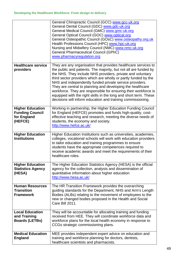|                                                                             | General Chiropractic Council (GCC) www.gcc-uk.org<br>General Dental Council (GDC) www.gdc-uk.org<br>General Medical Council (GMC) www.gmc-uk.org<br>General Optical Council (GOC) www.optical.org<br>General Osteopathic Council (GOsC) www.osteopathy.org.uk<br>Health Professions Council (HPC) www.hpc-uk.org<br>Nursing and Midwifery Council (NMC) www.nmc-uk.org<br><b>General Pharmaceutical Council (GPhC)</b><br>www.pharmacyregulation.org                                                                                                                                               |
|-----------------------------------------------------------------------------|----------------------------------------------------------------------------------------------------------------------------------------------------------------------------------------------------------------------------------------------------------------------------------------------------------------------------------------------------------------------------------------------------------------------------------------------------------------------------------------------------------------------------------------------------------------------------------------------------|
| <b>Healthcare service</b><br>providers                                      | They are any organisation that provides healthcare services to<br>the public and patients. The majority, but not all are funded by<br>the NHS. They include NHS providers, private and voluntary<br>third sector providers which are wholly or partly funded by the<br>NHS and independently funded private service providers.<br>They are central to planning and developing the healthcare<br>workforce. They are responsible for ensuring their workforce is<br>equipped with the right skills in the long and short term. These<br>decisions will inform education and training commissioning. |
| <b>Higher Education</b><br><b>Funding Council</b><br>for England<br>(HEFCE) | Working in partnership, the Higher Education Funding Council<br>for England (HEFCE) promotes and funds high-quality, cost-<br>effective teaching and research, meeting the diverse needs of<br>students, the economy and society.<br>http://www.hefce.ac.uk/                                                                                                                                                                                                                                                                                                                                       |
| <b>Higher Education</b><br><b>Institutions</b>                              | Higher Education Institutions such as universities, academies,<br>colleges, vocational schools will work with education providers<br>to tailor education and training programmes to ensure<br>students have the appropriate competences required to<br>receive academic awards and meet the requirements of their<br>healthcare roles.                                                                                                                                                                                                                                                             |
| <b>Higher Education</b><br><b>Statistics Agency</b><br>(HESA)               | The Higher Education Statistics Agency (HESA) is the official<br>agency for the collection, analysis and dissemination of<br>quantitative information about higher education<br>http://www.hesa.ac.uk/                                                                                                                                                                                                                                                                                                                                                                                             |
| <b>Human Resources</b><br><b>Transition</b><br><b>Framework</b>             | The HR Transition Framework provides the overarching<br>guiding standards for the Department, NHS and Arm's Length<br>Bodies (ALBs) relating to the movement of employees to the<br>new or changed bodies proposed in the Health and Social<br>Care Bill 2011.                                                                                                                                                                                                                                                                                                                                     |
| <b>Local Education</b><br>and Training<br><b>Boards (LETBs)</b>             | They will be accountable for allocating training and funding<br>received from HEE. They will coordinate workforce data and<br>workforce plans for the local health economy in response to<br>CCGs strategic commissioning plans.                                                                                                                                                                                                                                                                                                                                                                   |
| <b>Medical Education</b><br><b>England</b>                                  | MEE provides independent expert advice on education and<br>training and workforce planning for doctors, dentists,<br>healthcare scientists and pharmacists.                                                                                                                                                                                                                                                                                                                                                                                                                                        |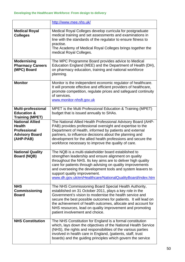|                                                                               | http://www.mee.nhs.uk/                                                                                                                                                                                                                                                                                                                                                                                 |
|-------------------------------------------------------------------------------|--------------------------------------------------------------------------------------------------------------------------------------------------------------------------------------------------------------------------------------------------------------------------------------------------------------------------------------------------------------------------------------------------------|
| <b>Medical Royal</b><br><b>Colleges</b>                                       | Medical Royal Colleges develop curricula for postgraduate<br>medical training and set assessments and examinations in<br>line with the standards of the regulator to ensure fitness to<br>practise.<br>The Academy of Medical Royal Colleges brings together the                                                                                                                                       |
|                                                                               | medical Royal Colleges.                                                                                                                                                                                                                                                                                                                                                                                |
| <b>Modernising</b><br><b>Pharmacy Careers</b><br>(MPC) Board                  | The MPC Programme Board provides advice to Medical<br>Education England (MEE) and the Department of Health (DH),<br>on pharmacy education, training and national workforce<br>planning.                                                                                                                                                                                                                |
| <b>Monitor</b>                                                                | Monitor is the independent economic regulator of healthcare.<br>It will promote effective and efficient providers of healthcare,<br>promote competition, regulate prices and safeguard continuity<br>of services.<br>www.monitor-nhsft.gov.uk                                                                                                                                                          |
| <b>Multi-professional</b><br><b>Education &amp;</b><br><b>Training (MPET)</b> | MPET is the Multi Professional Education & Training (MPET)<br>budget that is issued annually to SHAs.                                                                                                                                                                                                                                                                                                  |
| <b>National Allied</b><br><b>Health</b><br><b>Professional</b>                | The National Allied Health Professional Advisory Board (AHP-<br>PAB) provides professional oversight and expertise to the                                                                                                                                                                                                                                                                              |
| <b>Advisory Board</b><br>(AHP-PAB)                                            | Department of Health, informed by patients and external<br>partners, to influence decisions about the planning and<br>development for the allied health professions and secure the<br>workforce necessary to improve the quality of care.                                                                                                                                                              |
| <b>National Quality</b><br>Board (NQB)                                        | The NQB is a multi-stakeholder board established to<br>strengthen leadership and ensure alignment on quality<br>throughout the NHS. Its key aims are to deliver high quality<br>care for patients through advising on quality improvements<br>and overseeing the development tools and system leavers to<br>support quality improvement.<br>www.dh.gov.uk/en/Healthcare/NationalQualityBoard/index.htm |
| <b>NHS</b>                                                                    | The NHS Commissioning Board Special Health Authority,                                                                                                                                                                                                                                                                                                                                                  |
| <b>Commissioning</b><br><b>Board</b>                                          | established on 31 October 2011, plays a key role in the<br>Government's vision to modernise the health service and<br>secure the best possible outcomes for patients. It will lead on<br>the achievement of health outcomes, allocate and account for<br>NHS resources, lead on quality improvement and promoting<br>patient involvement and choice.                                                   |
| <b>NHS Constitution</b>                                                       | The NHS Constitution for England is a formal constitution<br>which, lays down the objectives of the National Health Service<br>(NHS), the rights and responsibilities of the various parties<br>involved in health care in England, (patients, staff, trust<br>boards) and the guiding principles which govern the service                                                                             |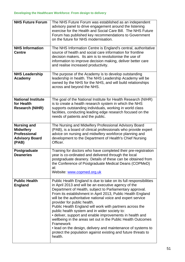| <b>NHS Future Forum</b><br><b>NHS Information</b><br><b>Centre</b>                              | The NHS Future Forum was established as an independent<br>advisory panel to drive engagement around the listening<br>exercise for the Health and Social Care Bill. The NHS Future<br>Forum has published key recommendations to Government<br>on the future for NHS modernisation.<br>The NHS Information Centre is England's central, authoritative<br>source of health and social care information for frontline                                                                                                                                                                                                                                                                                                                                   |
|-------------------------------------------------------------------------------------------------|------------------------------------------------------------------------------------------------------------------------------------------------------------------------------------------------------------------------------------------------------------------------------------------------------------------------------------------------------------------------------------------------------------------------------------------------------------------------------------------------------------------------------------------------------------------------------------------------------------------------------------------------------------------------------------------------------------------------------------------------------|
|                                                                                                 | decision makers. Its aim is to revolutionise the use of<br>information to improve decision making, deliver better care<br>and realise increased productivity.                                                                                                                                                                                                                                                                                                                                                                                                                                                                                                                                                                                        |
| <b>NHS Leadership</b><br>Academy                                                                | The purpose of the Academy is to develop outstanding<br>leadership in health. The NHS Leadership Academy will be<br>owned by the NHS for the NHS, and will build relationships<br>across and beyond the NHS.                                                                                                                                                                                                                                                                                                                                                                                                                                                                                                                                         |
| <b>National Institute</b><br>for Health<br><b>Research (NIHR)</b>                               | The goal of the National Institute for Health Research (NIHR)<br>is to create a health research system in which the NHS<br>supports outstanding individuals, working in world class<br>facilities, conducting leading edge research focused on the<br>needs of patients and the public.                                                                                                                                                                                                                                                                                                                                                                                                                                                              |
| <b>Nursing and</b><br><b>Midwifery</b><br><b>Professional</b><br><b>Advisory Board</b><br>(PAB) | The Nursing and Midwifery Professional Advisory Board<br>(PAB), is a board of clinical professionals who provide expert<br>advice on nursing and midwifery workforce planning and<br>development to the Department of Health's Chief Nursing<br>Officer.                                                                                                                                                                                                                                                                                                                                                                                                                                                                                             |
| Postgraduate<br><b>Deaneries</b>                                                                | Training for doctors who have completed their pre-registration<br>year is co-ordinated and delivered through the local<br>postgraduate deanery. Details of these can be obtained from<br>the Conference of Postgraduate Medical Deans (COPMeD)<br>at:<br>Website: www.copmed.org.uk                                                                                                                                                                                                                                                                                                                                                                                                                                                                  |
| <b>Public Health</b><br><b>England</b>                                                          | Public Health England is due to take on its full responsibilities<br>in April 2013 and will be an executive agency of the<br>Department of Health, subject to Parliamentary approval.<br>From its establishment in April 2013, Public Health England<br>will be the authoritative national voice and expert service<br>provider for public health.<br>Public Health England will work with partners across the<br>public health system and in wider society to:<br>• deliver, support and enable improvements in health and<br>wellbeing in the areas set out in the Public Health Outcomes<br>Framework<br>• lead on the design, delivery and maintenance of systems to<br>protect the population against existing and future threats to<br>health. |